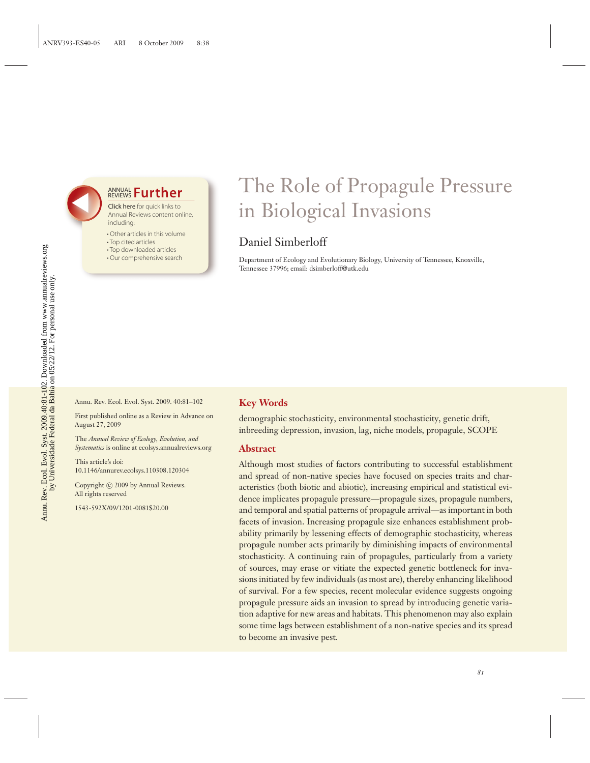# **ANNUAL Further**

Click here for quick links to Annual Reviews content online, including:

- Other articles in this volume
- Top cited articles
- Top downloaded articles
- Our comprehensive search

# The Role of Propagule Pressure in Biological Invasions

## Daniel Simberloff

Department of Ecology and Evolutionary Biology, University of Tennessee, Knoxville, Tennessee 37996; email: dsimberloff@utk.edu

Annu. Rev. Ecol. Evol. Syst. 2009. 40:81–102

First published online as a Review in Advance on August 27, 2009

The *Annual Review of Ecology, Evolution, and Systematics* is online at ecolsys.annualreviews.org

This article's doi: 10.1146/annurev.ecolsys.110308.120304

Copyright © 2009 by Annual Reviews. All rights reserved

1543-592X/09/1201-0081\$20.00

#### **Key Words**

demographic stochasticity, environmental stochasticity, genetic drift, inbreeding depression, invasion, lag, niche models, propagule, SCOPE

#### **Abstract**

Although most studies of factors contributing to successful establishment and spread of non-native species have focused on species traits and characteristics (both biotic and abiotic), increasing empirical and statistical evidence implicates propagule pressure—propagule sizes, propagule numbers, and temporal and spatial patterns of propagule arrival—as important in both facets of invasion. Increasing propagule size enhances establishment probability primarily by lessening effects of demographic stochasticity, whereas propagule number acts primarily by diminishing impacts of environmental stochasticity. A continuing rain of propagules, particularly from a variety of sources, may erase or vitiate the expected genetic bottleneck for invasions initiated by few individuals (as most are), thereby enhancing likelihood of survival. For a few species, recent molecular evidence suggests ongoing propagule pressure aids an invasion to spread by introducing genetic variation adaptive for new areas and habitats. This phenomenon may also explain some time lags between establishment of a non-native species and its spread to become an invasive pest.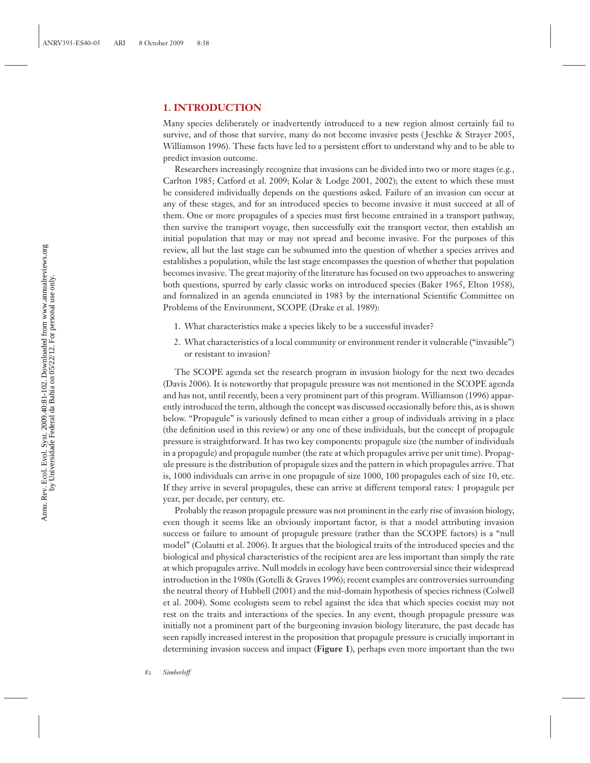#### **1. INTRODUCTION**

Many species deliberately or inadvertently introduced to a new region almost certainly fail to survive, and of those that survive, many do not become invasive pests ( Jeschke & Strayer 2005, Williamson 1996). These facts have led to a persistent effort to understand why and to be able to predict invasion outcome.

Researchers increasingly recognize that invasions can be divided into two or more stages (e.g., Carlton 1985; Catford et al. 2009; Kolar & Lodge 2001, 2002); the extent to which these must be considered individually depends on the questions asked. Failure of an invasion can occur at any of these stages, and for an introduced species to become invasive it must succeed at all of them. One or more propagules of a species must first become entrained in a transport pathway, then survive the transport voyage, then successfully exit the transport vector, then establish an initial population that may or may not spread and become invasive. For the purposes of this review, all but the last stage can be subsumed into the question of whether a species arrives and establishes a population, while the last stage encompasses the question of whether that population becomes invasive. The great majority of the literature has focused on two approaches to answering both questions, spurred by early classic works on introduced species (Baker 1965, Elton 1958), and formalized in an agenda enunciated in 1983 by the international Scientific Committee on Problems of the Environment, SCOPE (Drake et al. 1989):

- 1. What characteristics make a species likely to be a successful invader?
- 2. What characteristics of a local community or environment render it vulnerable ("invasible") or resistant to invasion?

The SCOPE agenda set the research program in invasion biology for the next two decades (Davis 2006). It is noteworthy that propagule pressure was not mentioned in the SCOPE agenda and has not, until recently, been a very prominent part of this program. Williamson (1996) apparently introduced the term, although the concept was discussed occasionally before this, as is shown below. "Propagule" is variously defined to mean either a group of individuals arriving in a place (the definition used in this review) or any one of these individuals, but the concept of propagule pressure is straightforward. It has two key components: propagule size (the number of individuals in a propagule) and propagule number (the rate at which propagules arrive per unit time). Propagule pressure is the distribution of propagule sizes and the pattern in which propagules arrive. That is, 1000 individuals can arrive in one propagule of size 1000, 100 propagules each of size 10, etc. If they arrive in several propagules, these can arrive at different temporal rates: 1 propagule per year, per decade, per century, etc.

Probably the reason propagule pressure was not prominent in the early rise of invasion biology, even though it seems like an obviously important factor, is that a model attributing invasion success or failure to amount of propagule pressure (rather than the SCOPE factors) is a "null model" (Colautti et al. 2006). It argues that the biological traits of the introduced species and the biological and physical characteristics of the recipient area are less important than simply the rate at which propagules arrive. Null models in ecology have been controversial since their widespread introduction in the 1980s (Gotelli & Graves 1996); recent examples are controversies surrounding the neutral theory of Hubbell (2001) and the mid-domain hypothesis of species richness (Colwell et al. 2004). Some ecologists seem to rebel against the idea that which species coexist may not rest on the traits and interactions of the species. In any event, though propagule pressure was initially not a prominent part of the burgeoning invasion biology literature, the past decade has seen rapidly increased interest in the proposition that propagule pressure is crucially important in determining invasion success and impact (**Figure 1**), perhaps even more important than the two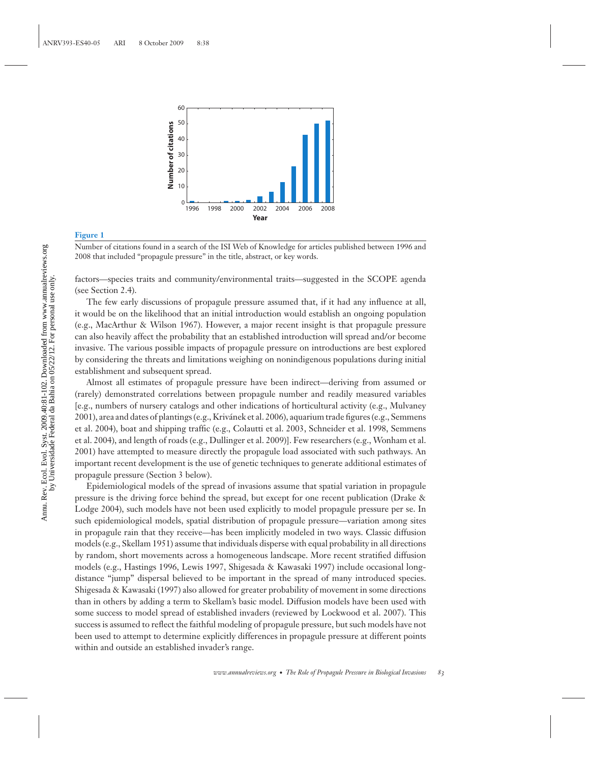

#### **Figure 1**

Number of citations found in a search of the ISI Web of Knowledge for articles published between 1996 and 2008 that included "propagule pressure" in the title, abstract, or key words.

factors—species traits and community/environmental traits—suggested in the SCOPE agenda (see Section 2.4).

The few early discussions of propagule pressure assumed that, if it had any influence at all, it would be on the likelihood that an initial introduction would establish an ongoing population (e.g., MacArthur & Wilson 1967). However, a major recent insight is that propagule pressure can also heavily affect the probability that an established introduction will spread and/or become invasive. The various possible impacts of propagule pressure on introductions are best explored by considering the threats and limitations weighing on nonindigenous populations during initial establishment and subsequent spread.

Almost all estimates of propagule pressure have been indirect—deriving from assumed or (rarely) demonstrated correlations between propagule number and readily measured variables [e.g., numbers of nursery catalogs and other indications of horticultural activity (e.g., Mulvaney 2001), area and dates of plantings (e.g., Krivanek et al. 2006), aquarium trade figures (e.g., Semmens ´ et al. 2004), boat and shipping traffic (e.g., Colautti et al. 2003, Schneider et al. 1998, Semmens et al. 2004), and length of roads (e.g., Dullinger et al. 2009)]. Few researchers (e.g., Wonham et al. 2001) have attempted to measure directly the propagule load associated with such pathways. An important recent development is the use of genetic techniques to generate additional estimates of propagule pressure (Section 3 below).

Epidemiological models of the spread of invasions assume that spatial variation in propagule pressure is the driving force behind the spread, but except for one recent publication (Drake & Lodge 2004), such models have not been used explicitly to model propagule pressure per se. In such epidemiological models, spatial distribution of propagule pressure—variation among sites in propagule rain that they receive—has been implicitly modeled in two ways. Classic diffusion models (e.g., Skellam 1951) assume that individuals disperse with equal probability in all directions by random, short movements across a homogeneous landscape. More recent stratified diffusion models (e.g., Hastings 1996, Lewis 1997, Shigesada & Kawasaki 1997) include occasional longdistance "jump" dispersal believed to be important in the spread of many introduced species. Shigesada & Kawasaki (1997) also allowed for greater probability of movement in some directions than in others by adding a term to Skellam's basic model. Diffusion models have been used with some success to model spread of established invaders (reviewed by Lockwood et al. 2007). This success is assumed to reflect the faithful modeling of propagule pressure, but such models have not been used to attempt to determine explicitly differences in propagule pressure at different points within and outside an established invader's range.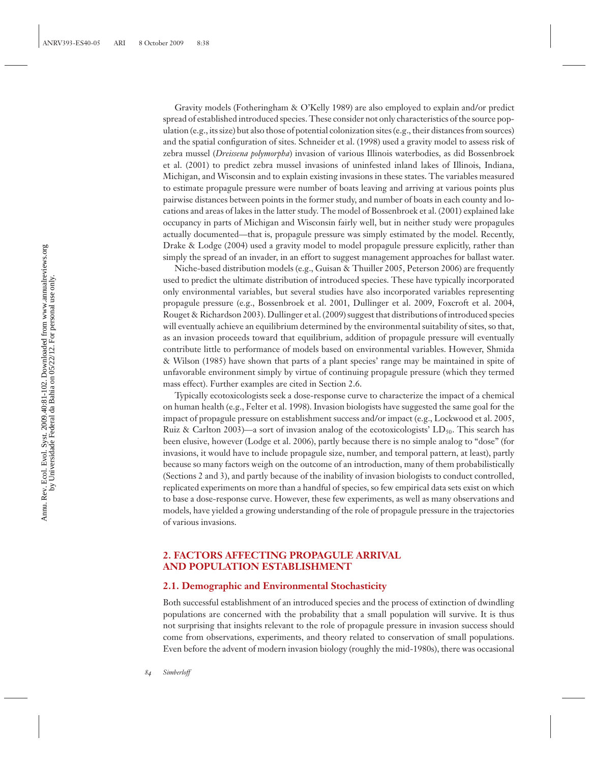Gravity models (Fotheringham & O'Kelly 1989) are also employed to explain and/or predict spread of established introduced species. These consider not only characteristics of the source population (e.g., its size) but also those of potential colonization sites (e.g., their distances from sources) and the spatial configuration of sites. Schneider et al. (1998) used a gravity model to assess risk of zebra mussel (*Dreissena polymorpha*) invasion of various Illinois waterbodies, as did Bossenbroek et al. (2001) to predict zebra mussel invasions of uninfested inland lakes of Illinois, Indiana, Michigan, and Wisconsin and to explain existing invasions in these states. The variables measured to estimate propagule pressure were number of boats leaving and arriving at various points plus pairwise distances between points in the former study, and number of boats in each county and locations and areas of lakes in the latter study. The model of Bossenbroek et al. (2001) explained lake occupancy in parts of Michigan and Wisconsin fairly well, but in neither study were propagules actually documented—that is, propagule pressure was simply estimated by the model. Recently, Drake & Lodge (2004) used a gravity model to model propagule pressure explicitly, rather than simply the spread of an invader, in an effort to suggest management approaches for ballast water.

Niche-based distribution models (e.g., Guisan & Thuiller 2005, Peterson 2006) are frequently used to predict the ultimate distribution of introduced species. These have typically incorporated only environmental variables, but several studies have also incorporated variables representing propagule pressure (e.g., Bossenbroek et al. 2001, Dullinger et al. 2009, Foxcroft et al. 2004, Rouget & Richardson 2003). Dullinger et al. (2009) suggest that distributions of introduced species will eventually achieve an equilibrium determined by the environmental suitability of sites, so that, as an invasion proceeds toward that equilibrium, addition of propagule pressure will eventually contribute little to performance of models based on environmental variables. However, Shmida & Wilson (1985) have shown that parts of a plant species' range may be maintained in spite of unfavorable environment simply by virtue of continuing propagule pressure (which they termed mass effect). Further examples are cited in Section 2.6.

Typically ecotoxicologists seek a dose-response curve to characterize the impact of a chemical on human health (e.g., Felter et al. 1998). Invasion biologists have suggested the same goal for the impact of propagule pressure on establishment success and/or impact (e.g., Lockwood et al. 2005, Ruiz & Carlton 2003)—a sort of invasion analog of the ecotoxicologists'  $LD_{50}$ . This search has been elusive, however (Lodge et al. 2006), partly because there is no simple analog to "dose" (for invasions, it would have to include propagule size, number, and temporal pattern, at least), partly because so many factors weigh on the outcome of an introduction, many of them probabilistically (Sections 2 and 3), and partly because of the inability of invasion biologists to conduct controlled, replicated experiments on more than a handful of species, so few empirical data sets exist on which to base a dose-response curve. However, these few experiments, as well as many observations and models, have yielded a growing understanding of the role of propagule pressure in the trajectories of various invasions.

#### **2. FACTORS AFFECTING PROPAGULE ARRIVAL AND POPULATION ESTABLISHMENT**

#### **2.1. Demographic and Environmental Stochasticity**

Both successful establishment of an introduced species and the process of extinction of dwindling populations are concerned with the probability that a small population will survive. It is thus not surprising that insights relevant to the role of propagule pressure in invasion success should come from observations, experiments, and theory related to conservation of small populations. Even before the advent of modern invasion biology (roughly the mid-1980s), there was occasional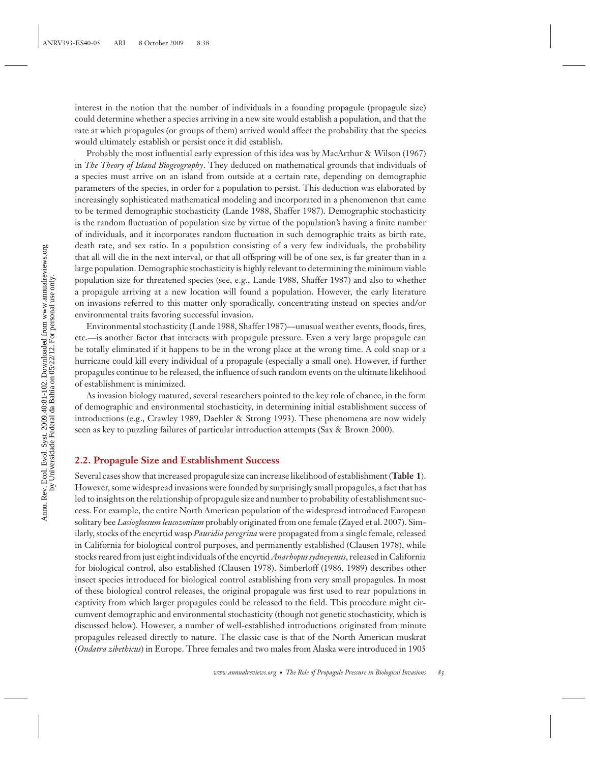interest in the notion that the number of individuals in a founding propagule (propagule size) could determine whether a species arriving in a new site would establish a population, and that the rate at which propagules (or groups of them) arrived would affect the probability that the species would ultimately establish or persist once it did establish.

Probably the most influential early expression of this idea was by MacArthur & Wilson (1967) in *The Theory of Island Biogeography*. They deduced on mathematical grounds that individuals of a species must arrive on an island from outside at a certain rate, depending on demographic parameters of the species, in order for a population to persist. This deduction was elaborated by increasingly sophisticated mathematical modeling and incorporated in a phenomenon that came to be termed demographic stochasticity (Lande 1988, Shaffer 1987). Demographic stochasticity is the random fluctuation of population size by virtue of the population's having a finite number of individuals, and it incorporates random fluctuation in such demographic traits as birth rate, death rate, and sex ratio. In a population consisting of a very few individuals, the probability that all will die in the next interval, or that all offspring will be of one sex, is far greater than in a large population. Demographic stochasticity is highly relevant to determining the minimum viable population size for threatened species (see, e.g., Lande 1988, Shaffer 1987) and also to whether a propagule arriving at a new location will found a population. However, the early literature on invasions referred to this matter only sporadically, concentrating instead on species and/or environmental traits favoring successful invasion.

Environmental stochasticity (Lande 1988, Shaffer 1987)—unusual weather events, floods, fires, etc.—is another factor that interacts with propagule pressure. Even a very large propagule can be totally eliminated if it happens to be in the wrong place at the wrong time. A cold snap or a hurricane could kill every individual of a propagule (especially a small one). However, if further propagules continue to be released, the influence of such random events on the ultimate likelihood of establishment is minimized.

As invasion biology matured, several researchers pointed to the key role of chance, in the form of demographic and environmental stochasticity, in determining initial establishment success of introductions (e.g., Crawley 1989, Daehler & Strong 1993). These phenomena are now widely seen as key to puzzling failures of particular introduction attempts (Sax & Brown 2000).

#### **2.2. Propagule Size and Establishment Success**

Several cases show that increased propagule size can increase likelihood of establishment (**Table 1**). However, some widespread invasions were founded by surprisingly small propagules, a fact that has led to insights on the relationship of propagule size and number to probability of establishment success. For example, the entire North American population of the widespread introduced European solitary bee *Lasioglossum leucozonium* probably originated from one female (Zayed et al. 2007). Similarly, stocks of the encyrtid wasp *Pauridia peregrina* were propagated from a single female, released in California for biological control purposes, and permanently established (Clausen 1978), while stocks reared from just eight individuals of the encyrtid *Anarhopus sydneyensis*, released in California for biological control, also established (Clausen 1978). Simberloff (1986, 1989) describes other insect species introduced for biological control establishing from very small propagules. In most of these biological control releases, the original propagule was first used to rear populations in captivity from which larger propagules could be released to the field. This procedure might circumvent demographic and environmental stochasticity (though not genetic stochasticity, which is discussed below). However, a number of well-established introductions originated from minute propagules released directly to nature. The classic case is that of the North American muskrat (*Ondatra zibethicus*) in Europe. Three females and two males from Alaska were introduced in 1905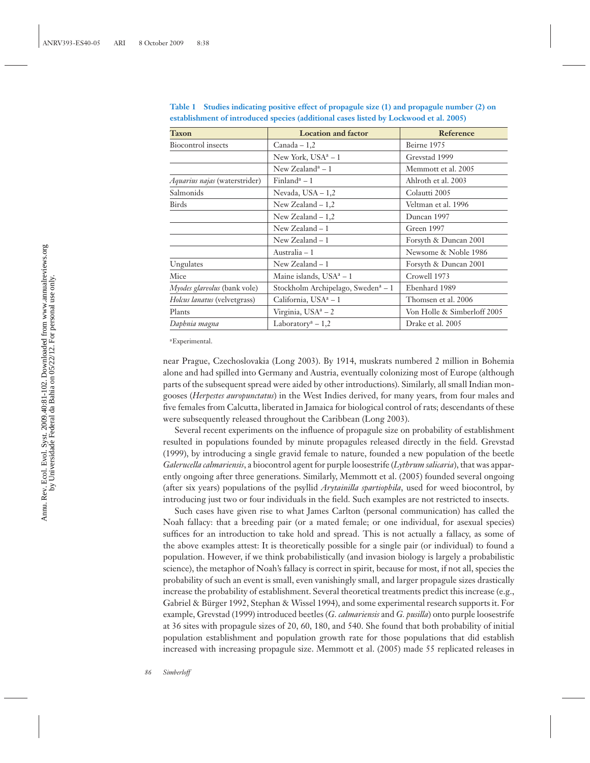| Taxon                         | <b>Location and factor</b>                     | Reference                   |
|-------------------------------|------------------------------------------------|-----------------------------|
| <b>Biocontrol</b> insects     | $Canada - 1,2$                                 | Beirne 1975                 |
|                               | New York, $USA^a - 1$                          | Grevstad 1999               |
|                               | New Zealand <sup>a</sup> – 1                   | Memmott et al. 2005         |
| Aquarius najas (waterstrider) | Finland <sup>a</sup> $-1$                      | Ahlroth et al. 2003         |
| Salmonids                     | Nevada, $USA - 1,2$                            | Colautti 2005               |
| Birds                         | New Zealand $-1,2$                             | Veltman et al. 1996         |
|                               | New Zealand $-1,2$                             | Duncan 1997                 |
|                               | New Zealand $-1$                               | Green 1997                  |
|                               | New Zealand $-1$                               | Forsyth & Duncan 2001       |
|                               | Australia - 1                                  | Newsome & Noble 1986        |
| Ungulates                     | New Zealand $-1$                               | Forsyth & Duncan 2001       |
| Mice                          | Maine islands, $USA^a - 1$                     | Crowell 1973                |
| Myodes glareolus (bank vole)  | Stockholm Archipelago, Sweden <sup>a</sup> – 1 | Ebenhard 1989               |
| Holcus lanatus (velvetgrass)  | California, USA <sup>a</sup> - 1               | Thomsen et al. 2006         |
| Plants                        | Virginia, USA <sup>a</sup> - 2                 | Von Holle & Simberloff 2005 |
| Daphnia magna                 | Laboratory <sup>a</sup> – 1,2                  | Drake et al. 2005           |

**Table 1 Studies indicating positive effect of propagule size (1) and propagule number (2) on establishment of introduced species (additional cases listed by Lockwood et al. 2005)**

aExperimental.

near Prague, Czechoslovakia (Long 2003). By 1914, muskrats numbered 2 million in Bohemia alone and had spilled into Germany and Austria, eventually colonizing most of Europe (although parts of the subsequent spread were aided by other introductions). Similarly, all small Indian mongooses (*Herpestes auropunctatus*) in the West Indies derived, for many years, from four males and five females from Calcutta, liberated in Jamaica for biological control of rats; descendants of these were subsequently released throughout the Caribbean (Long 2003).

Several recent experiments on the influence of propagule size on probability of establishment resulted in populations founded by minute propagules released directly in the field. Grevstad (1999), by introducing a single gravid female to nature, founded a new population of the beetle *Galerucella calmariensis*, a biocontrol agent for purple loosestrife (*Lythrum salicaria*), that was apparently ongoing after three generations. Similarly, Memmott et al. (2005) founded several ongoing (after six years) populations of the psyllid *Arytainilla spartiophila*, used for weed biocontrol, by introducing just two or four individuals in the field. Such examples are not restricted to insects.

Such cases have given rise to what James Carlton (personal communication) has called the Noah fallacy: that a breeding pair (or a mated female; or one individual, for asexual species) suffices for an introduction to take hold and spread. This is not actually a fallacy, as some of the above examples attest: It is theoretically possible for a single pair (or individual) to found a population. However, if we think probabilistically (and invasion biology is largely a probabilistic science), the metaphor of Noah's fallacy is correct in spirit, because for most, if not all, species the probability of such an event is small, even vanishingly small, and larger propagule sizes drastically increase the probability of establishment. Several theoretical treatments predict this increase (e.g., Gabriel & Bürger 1992, Stephan & Wissel 1994), and some experimental research supports it. For example, Grevstad (1999) introduced beetles (*G. calmariensis* and *G. pusilla*) onto purple loosestrife at 36 sites with propagule sizes of 20, 60, 180, and 540. She found that both probability of initial population establishment and population growth rate for those populations that did establish increased with increasing propagule size. Memmott et al. (2005) made 55 replicated releases in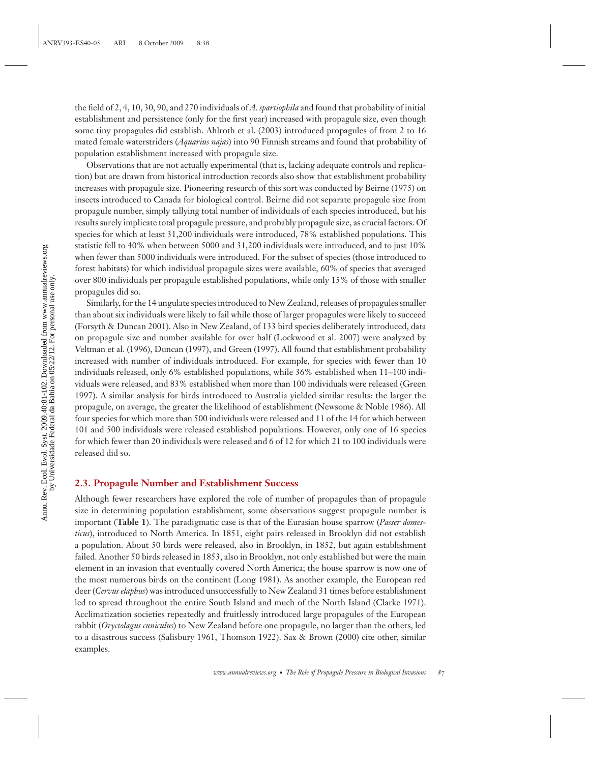the field of 2, 4, 10, 30, 90, and 270 individuals of *A. spartiophila* and found that probability of initial establishment and persistence (only for the first year) increased with propagule size, even though some tiny propagules did establish. Ahlroth et al. (2003) introduced propagules of from 2 to 16 mated female waterstriders (*Aquarius najas*) into 90 Finnish streams and found that probability of population establishment increased with propagule size.

Observations that are not actually experimental (that is, lacking adequate controls and replication) but are drawn from historical introduction records also show that establishment probability increases with propagule size. Pioneering research of this sort was conducted by Beirne (1975) on insects introduced to Canada for biological control. Beirne did not separate propagule size from propagule number, simply tallying total number of individuals of each species introduced, but his results surely implicate total propagule pressure, and probably propagule size, as crucial factors. Of species for which at least 31,200 individuals were introduced, 78% established populations. This statistic fell to 40% when between 5000 and 31,200 individuals were introduced, and to just 10% when fewer than 5000 individuals were introduced. For the subset of species (those introduced to forest habitats) for which individual propagule sizes were available, 60% of species that averaged over 800 individuals per propagule established populations, while only 15% of those with smaller propagules did so.

Similarly, for the 14 ungulate species introduced to New Zealand, releases of propagules smaller than about six individuals were likely to fail while those of larger propagules were likely to succeed (Forsyth & Duncan 2001). Also in New Zealand, of 133 bird species deliberately introduced, data on propagule size and number available for over half (Lockwood et al. 2007) were analyzed by Veltman et al. (1996), Duncan (1997), and Green (1997). All found that establishment probability increased with number of individuals introduced. For example, for species with fewer than 10 individuals released, only 6% established populations, while 36% established when 11–100 individuals were released, and 83% established when more than 100 individuals were released (Green 1997). A similar analysis for birds introduced to Australia yielded similar results: the larger the propagule, on average, the greater the likelihood of establishment (Newsome & Noble 1986). All four species for which more than 500 individuals were released and 11 of the 14 for which between 101 and 500 individuals were released established populations. However, only one of 16 species for which fewer than 20 individuals were released and 6 of 12 for which 21 to 100 individuals were released did so.

#### **2.3. Propagule Number and Establishment Success**

Although fewer researchers have explored the role of number of propagules than of propagule size in determining population establishment, some observations suggest propagule number is important (**Table 1**). The paradigmatic case is that of the Eurasian house sparrow (*Passer domesticus*), introduced to North America. In 1851, eight pairs released in Brooklyn did not establish a population. About 50 birds were released, also in Brooklyn, in 1852, but again establishment failed. Another 50 birds released in 1853, also in Brooklyn, not only established but were the main element in an invasion that eventually covered North America; the house sparrow is now one of the most numerous birds on the continent (Long 1981). As another example, the European red deer (*Cervus elaphus*) was introduced unsuccessfully to New Zealand 31 times before establishment led to spread throughout the entire South Island and much of the North Island (Clarke 1971). Acclimatization societies repeatedly and fruitlessly introduced large propagules of the European rabbit (*Oryctolagus cuniculus*) to New Zealand before one propagule, no larger than the others, led to a disastrous success (Salisbury 1961, Thomson 1922). Sax & Brown (2000) cite other, similar examples.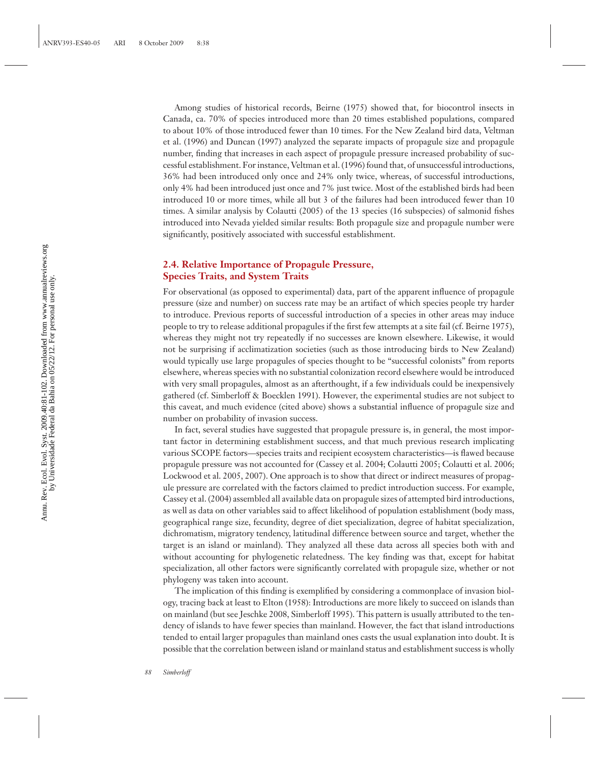Among studies of historical records, Beirne (1975) showed that, for biocontrol insects in Canada, ca. 70% of species introduced more than 20 times established populations, compared to about 10% of those introduced fewer than 10 times. For the New Zealand bird data, Veltman et al. (1996) and Duncan (1997) analyzed the separate impacts of propagule size and propagule number, finding that increases in each aspect of propagule pressure increased probability of successful establishment. For instance, Veltman et al. (1996) found that, of unsuccessful introductions, 36% had been introduced only once and 24% only twice, whereas, of successful introductions, only 4% had been introduced just once and 7% just twice. Most of the established birds had been introduced 10 or more times, while all but 3 of the failures had been introduced fewer than 10 times. A similar analysis by Colautti (2005) of the 13 species (16 subspecies) of salmonid fishes introduced into Nevada yielded similar results: Both propagule size and propagule number were significantly, positively associated with successful establishment.

#### **2.4. Relative Importance of Propagule Pressure, Species Traits, and System Traits**

For observational (as opposed to experimental) data, part of the apparent influence of propagule pressure (size and number) on success rate may be an artifact of which species people try harder to introduce. Previous reports of successful introduction of a species in other areas may induce people to try to release additional propagules if the first few attempts at a site fail (cf. Beirne 1975), whereas they might not try repeatedly if no successes are known elsewhere. Likewise, it would not be surprising if acclimatization societies (such as those introducing birds to New Zealand) would typically use large propagules of species thought to be "successful colonists" from reports elsewhere, whereas species with no substantial colonization record elsewhere would be introduced with very small propagules, almost as an afterthought, if a few individuals could be inexpensively gathered (cf. Simberloff & Boecklen 1991). However, the experimental studies are not subject to this caveat, and much evidence (cited above) shows a substantial influence of propagule size and number on probability of invasion success.

In fact, several studies have suggested that propagule pressure is, in general, the most important factor in determining establishment success, and that much previous research implicating various SCOPE factors—species traits and recipient ecosystem characteristics—is flawed because propagule pressure was not accounted for (Cassey et al. 2004; Colautti 2005; Colautti et al. 2006; Lockwood et al. 2005, 2007). One approach is to show that direct or indirect measures of propagule pressure are correlated with the factors claimed to predict introduction success. For example, Cassey et al. (2004) assembled all available data on propagule sizes of attempted bird introductions, as well as data on other variables said to affect likelihood of population establishment (body mass, geographical range size, fecundity, degree of diet specialization, degree of habitat specialization, dichromatism, migratory tendency, latitudinal difference between source and target, whether the target is an island or mainland). They analyzed all these data across all species both with and without accounting for phylogenetic relatedness. The key finding was that, except for habitat specialization, all other factors were significantly correlated with propagule size, whether or not phylogeny was taken into account.

The implication of this finding is exemplified by considering a commonplace of invasion biology, tracing back at least to Elton (1958): Introductions are more likely to succeed on islands than on mainland (but see Jeschke 2008, Simberloff 1995). This pattern is usually attributed to the tendency of islands to have fewer species than mainland. However, the fact that island introductions tended to entail larger propagules than mainland ones casts the usual explanation into doubt. It is possible that the correlation between island or mainland status and establishment success is wholly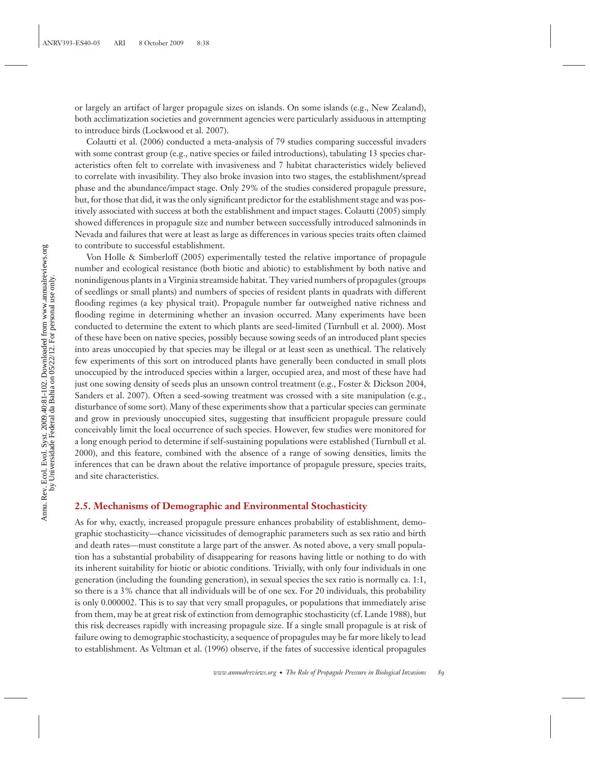or largely an artifact of larger propagule sizes on islands. On some islands (e.g., New Zealand), both acclimatization societies and government agencies were particularly assiduous in attempting to introduce birds (Lockwood et al. 2007).

Colautti et al. (2006) conducted a meta-analysis of 79 studies comparing successful invaders with some contrast group (e.g., native species or failed introductions), tabulating 13 species characteristics often felt to correlate with invasiveness and 7 habitat characteristics widely believed to correlate with invasibility. They also broke invasion into two stages, the establishment/spread phase and the abundance/impact stage. Only 29% of the studies considered propagule pressure, but, for those that did, it was the only significant predictor for the establishment stage and was positively associated with success at both the establishment and impact stages. Colautti (2005) simply showed differences in propagule size and number between successfully introduced salmoninds in Nevada and failures that were at least as large as differences in various species traits often claimed to contribute to successful establishment.

Von Holle & Simberloff (2005) experimentally tested the relative importance of propagule number and ecological resistance (both biotic and abiotic) to establishment by both native and nonindigenous plants in a Virginia streamside habitat. They varied numbers of propagules (groups of seedlings or small plants) and numbers of species of resident plants in quadrats with different flooding regimes (a key physical trait). Propagule number far outweighed native richness and flooding regime in determining whether an invasion occurred. Many experiments have been conducted to determine the extent to which plants are seed-limited (Turnbull et al. 2000). Most of these have been on native species, possibly because sowing seeds of an introduced plant species into areas unoccupied by that species may be illegal or at least seen as unethical. The relatively few experiments of this sort on introduced plants have generally been conducted in small plots unoccupied by the introduced species within a larger, occupied area, and most of these have had just one sowing density of seeds plus an unsown control treatment (e.g., Foster & Dickson 2004, Sanders et al. 2007). Often a seed-sowing treatment was crossed with a site manipulation (e.g., disturbance of some sort). Many of these experiments show that a particular species can germinate and grow in previously unoccupied sites, suggesting that insufficient propagule pressure could conceivably limit the local occurrence of such species. However, few studies were monitored for a long enough period to determine if self-sustaining populations were established (Turnbull et al. 2000), and this feature, combined with the absence of a range of sowing densities, limits the inferences that can be drawn about the relative importance of propagule pressure, species traits, and site characteristics.

#### **2.5. Mechanisms of Demographic and Environmental Stochasticity**

As for why, exactly, increased propagule pressure enhances probability of establishment, demographic stochasticity—chance vicissitudes of demographic parameters such as sex ratio and birth and death rates—must constitute a large part of the answer. As noted above, a very small population has a substantial probability of disappearing for reasons having little or nothing to do with its inherent suitability for biotic or abiotic conditions. Trivially, with only four individuals in one generation (including the founding generation), in sexual species the sex ratio is normally ca. 1:1, so there is a 3% chance that all individuals will be of one sex. For 20 individuals, this probability is only 0.000002. This is to say that very small propagules, or populations that immediately arise from them, may be at great risk of extinction from demographic stochasticity (cf. Lande 1988), but this risk decreases rapidly with increasing propagule size. If a single small propagule is at risk of failure owing to demographic stochasticity, a sequence of propagules may be far more likely to lead to establishment. As Veltman et al. (1996) observe, if the fates of successive identical propagules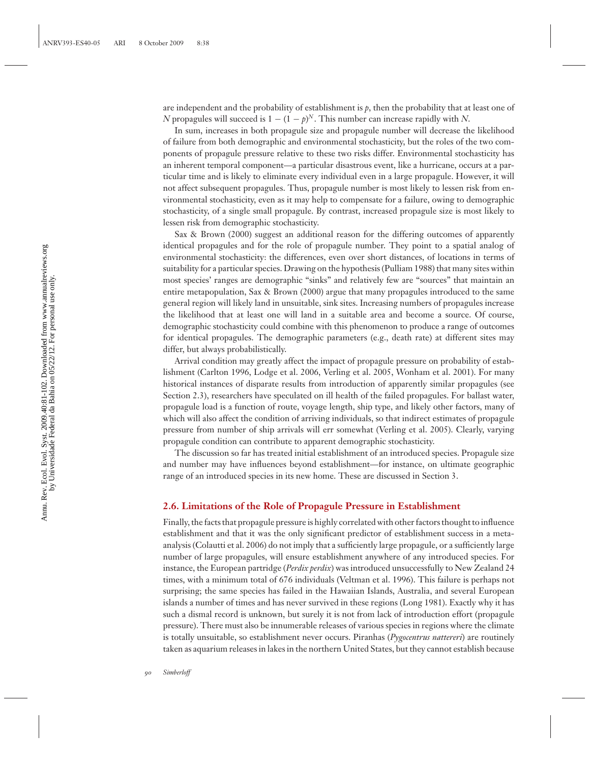are independent and the probability of establishment is  $p$ , then the probability that at least one of *N* propagules will succeed is 1 − (1 − *p*) *<sup>N</sup>* . This number can increase rapidly with *N*.

In sum, increases in both propagule size and propagule number will decrease the likelihood of failure from both demographic and environmental stochasticity, but the roles of the two components of propagule pressure relative to these two risks differ. Environmental stochasticity has an inherent temporal component—a particular disastrous event, like a hurricane, occurs at a particular time and is likely to eliminate every individual even in a large propagule. However, it will not affect subsequent propagules. Thus, propagule number is most likely to lessen risk from environmental stochasticity, even as it may help to compensate for a failure, owing to demographic stochasticity, of a single small propagule. By contrast, increased propagule size is most likely to lessen risk from demographic stochasticity.

Sax & Brown (2000) suggest an additional reason for the differing outcomes of apparently identical propagules and for the role of propagule number. They point to a spatial analog of environmental stochasticity: the differences, even over short distances, of locations in terms of suitability for a particular species. Drawing on the hypothesis (Pulliam 1988) that many sites within most species' ranges are demographic "sinks" and relatively few are "sources" that maintain an entire metapopulation, Sax & Brown (2000) argue that many propagules introduced to the same general region will likely land in unsuitable, sink sites. Increasing numbers of propagules increase the likelihood that at least one will land in a suitable area and become a source. Of course, demographic stochasticity could combine with this phenomenon to produce a range of outcomes for identical propagules. The demographic parameters (e.g., death rate) at different sites may differ, but always probabilistically.

Arrival condition may greatly affect the impact of propagule pressure on probability of establishment (Carlton 1996, Lodge et al. 2006, Verling et al. 2005, Wonham et al. 2001). For many historical instances of disparate results from introduction of apparently similar propagules (see Section 2.3), researchers have speculated on ill health of the failed propagules. For ballast water, propagule load is a function of route, voyage length, ship type, and likely other factors, many of which will also affect the condition of arriving individuals, so that indirect estimates of propagule pressure from number of ship arrivals will err somewhat (Verling et al. 2005). Clearly, varying propagule condition can contribute to apparent demographic stochasticity.

The discussion so far has treated initial establishment of an introduced species. Propagule size and number may have influences beyond establishment—for instance, on ultimate geographic range of an introduced species in its new home. These are discussed in Section 3.

#### **2.6. Limitations of the Role of Propagule Pressure in Establishment**

Finally, the facts that propagule pressure is highly correlated with other factors thought to influence establishment and that it was the only significant predictor of establishment success in a metaanalysis (Colautti et al. 2006) do not imply that a sufficiently large propagule, or a sufficiently large number of large propagules, will ensure establishment anywhere of any introduced species. For instance, the European partridge (*Perdix perdix*) was introduced unsuccessfully to New Zealand 24 times, with a minimum total of 676 individuals (Veltman et al. 1996). This failure is perhaps not surprising; the same species has failed in the Hawaiian Islands, Australia, and several European islands a number of times and has never survived in these regions (Long 1981). Exactly why it has such a dismal record is unknown, but surely it is not from lack of introduction effort (propagule pressure). There must also be innumerable releases of various species in regions where the climate is totally unsuitable, so establishment never occurs. Piranhas (*Pygocentrus nattereri*) are routinely taken as aquarium releases in lakes in the northern United States, but they cannot establish because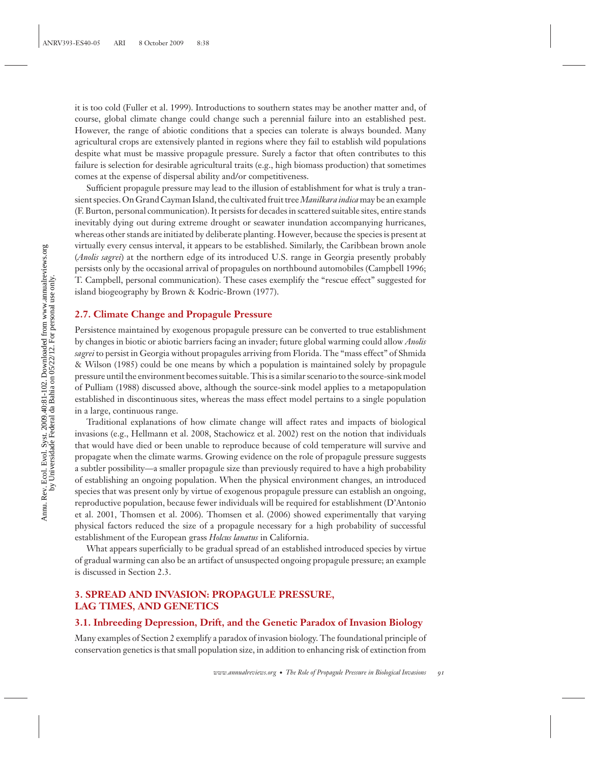it is too cold (Fuller et al. 1999). Introductions to southern states may be another matter and, of course, global climate change could change such a perennial failure into an established pest. However, the range of abiotic conditions that a species can tolerate is always bounded. Many agricultural crops are extensively planted in regions where they fail to establish wild populations despite what must be massive propagule pressure. Surely a factor that often contributes to this failure is selection for desirable agricultural traits (e.g., high biomass production) that sometimes comes at the expense of dispersal ability and/or competitiveness.

Sufficient propagule pressure may lead to the illusion of establishment for what is truly a transient species. On Grand Cayman Island, the cultivated fruit tree*Manilkara indica* may be an example (F. Burton, personal communication). It persists for decades in scattered suitable sites, entire stands inevitably dying out during extreme drought or seawater inundation accompanying hurricanes, whereas other stands are initiated by deliberate planting. However, because the species is present at virtually every census interval, it appears to be established. Similarly, the Caribbean brown anole (*Anolis sagrei*) at the northern edge of its introduced U.S. range in Georgia presently probably persists only by the occasional arrival of propagules on northbound automobiles (Campbell 1996; T. Campbell, personal communication). These cases exemplify the "rescue effect" suggested for island biogeography by Brown & Kodric-Brown (1977).

#### **2.7. Climate Change and Propagule Pressure**

Persistence maintained by exogenous propagule pressure can be converted to true establishment by changes in biotic or abiotic barriers facing an invader; future global warming could allow *Anolis sagrei* to persist in Georgia without propagules arriving from Florida. The "mass effect" of Shmida & Wilson (1985) could be one means by which a population is maintained solely by propagule pressure until the environment becomes suitable. This is a similar scenario to the source-sink model of Pulliam (1988) discussed above, although the source-sink model applies to a metapopulation established in discontinuous sites, whereas the mass effect model pertains to a single population in a large, continuous range.

Traditional explanations of how climate change will affect rates and impacts of biological invasions (e.g., Hellmann et al. 2008, Stachowicz et al. 2002) rest on the notion that individuals that would have died or been unable to reproduce because of cold temperature will survive and propagate when the climate warms. Growing evidence on the role of propagule pressure suggests a subtler possibility—a smaller propagule size than previously required to have a high probability of establishing an ongoing population. When the physical environment changes, an introduced species that was present only by virtue of exogenous propagule pressure can establish an ongoing, reproductive population, because fewer individuals will be required for establishment (D'Antonio et al. 2001, Thomsen et al. 2006). Thomsen et al. (2006) showed experimentally that varying physical factors reduced the size of a propagule necessary for a high probability of successful establishment of the European grass *Holcus lanatus* in California.

What appears superficially to be gradual spread of an established introduced species by virtue of gradual warming can also be an artifact of unsuspected ongoing propagule pressure; an example is discussed in Section 2.3.

#### **3. SPREAD AND INVASION: PROPAGULE PRESSURE, LAG TIMES, AND GENETICS**

#### **3.1. Inbreeding Depression, Drift, and the Genetic Paradox of Invasion Biology**

Many examples of Section 2 exemplify a paradox of invasion biology. The foundational principle of conservation genetics is that small population size, in addition to enhancing risk of extinction from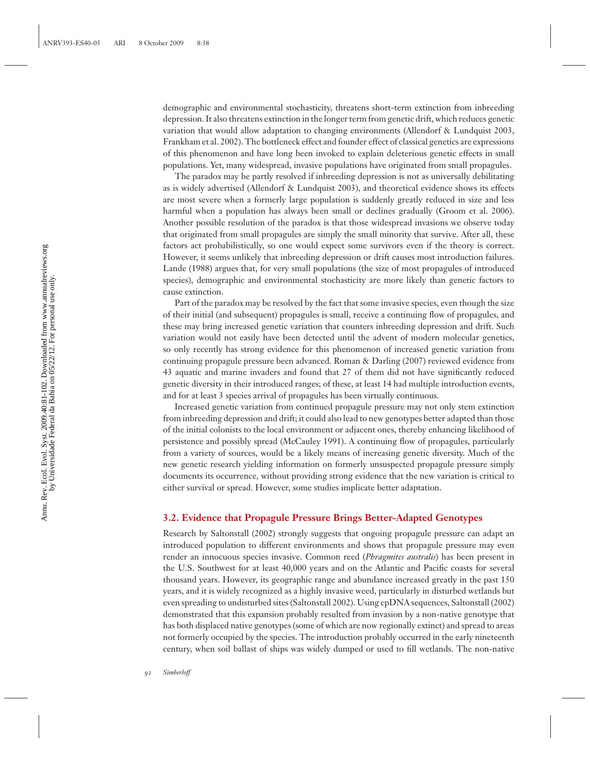demographic and environmental stochasticity, threatens short-term extinction from inbreeding depression. It also threatens extinction in the longer term from genetic drift, which reduces genetic variation that would allow adaptation to changing environments (Allendorf & Lundquist 2003, Frankham et al. 2002). The bottleneck effect and founder effect of classical genetics are expressions of this phenomenon and have long been invoked to explain deleterious genetic effects in small populations. Yet, many widespread, invasive populations have originated from small propagules.

The paradox may be partly resolved if inbreeding depression is not as universally debilitating as is widely advertised (Allendorf & Lundquist 2003), and theoretical evidence shows its effects are most severe when a formerly large population is suddenly greatly reduced in size and less harmful when a population has always been small or declines gradually (Groom et al. 2006). Another possible resolution of the paradox is that those widespread invasions we observe today that originated from small propagules are simply the small minority that survive. After all, these factors act probabilistically, so one would expect some survivors even if the theory is correct. However, it seems unlikely that inbreeding depression or drift causes most introduction failures. Lande (1988) argues that, for very small populations (the size of most propagules of introduced species), demographic and environmental stochasticity are more likely than genetic factors to cause extinction.

Part of the paradox may be resolved by the fact that some invasive species, even though the size of their initial (and subsequent) propagules is small, receive a continuing flow of propagules, and these may bring increased genetic variation that counters inbreeding depression and drift. Such variation would not easily have been detected until the advent of modern molecular genetics, so only recently has strong evidence for this phenomenon of increased genetic variation from continuing propagule pressure been advanced. Roman & Darling (2007) reviewed evidence from 43 aquatic and marine invaders and found that 27 of them did not have significantly reduced genetic diversity in their introduced ranges; of these, at least 14 had multiple introduction events, and for at least 3 species arrival of propagules has been virtually continuous.

Increased genetic variation from continued propagule pressure may not only stem extinction from inbreeding depression and drift; it could also lead to new genotypes better adapted than those of the initial colonists to the local environment or adjacent ones, thereby enhancing likelihood of persistence and possibly spread (McCauley 1991). A continuing flow of propagules, particularly from a variety of sources, would be a likely means of increasing genetic diversity. Much of the new genetic research yielding information on formerly unsuspected propagule pressure simply documents its occurrence, without providing strong evidence that the new variation is critical to either survival or spread. However, some studies implicate better adaptation.

#### **3.2. Evidence that Propagule Pressure Brings Better-Adapted Genotypes**

Research by Saltonstall (2002) strongly suggests that ongoing propagule pressure can adapt an introduced population to different environments and shows that propagule pressure may even render an innocuous species invasive. Common reed (*Phragmites australis*) has been present in the U.S. Southwest for at least 40,000 years and on the Atlantic and Pacific coasts for several thousand years. However, its geographic range and abundance increased greatly in the past 150 years, and it is widely recognized as a highly invasive weed, particularly in disturbed wetlands but even spreading to undisturbed sites (Saltonstall 2002). Using cpDNA sequences, Saltonstall (2002) demonstrated that this expansion probably resulted from invasion by a non-native genotype that has both displaced native genotypes (some of which are now regionally extinct) and spread to areas not formerly occupied by the species. The introduction probably occurred in the early nineteenth century, when soil ballast of ships was widely dumped or used to fill wetlands. The non-native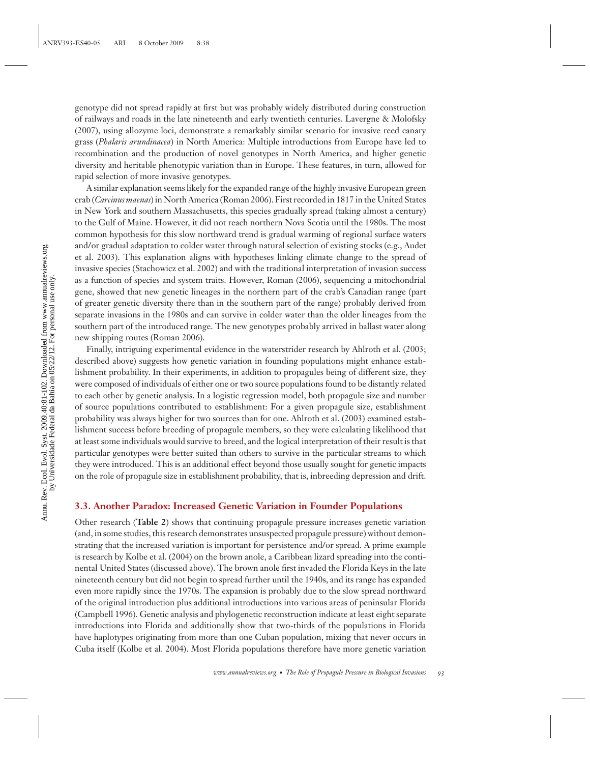genotype did not spread rapidly at first but was probably widely distributed during construction of railways and roads in the late nineteenth and early twentieth centuries. Lavergne & Molofsky (2007), using allozyme loci, demonstrate a remarkably similar scenario for invasive reed canary grass (*Phalaris arundinacea*) in North America: Multiple introductions from Europe have led to recombination and the production of novel genotypes in North America, and higher genetic diversity and heritable phenotypic variation than in Europe. These features, in turn, allowed for rapid selection of more invasive genotypes.

A similar explanation seems likely for the expanded range of the highly invasive European green crab (*Carcinus maenas*) in North America (Roman 2006). First recorded in 1817 in the United States in New York and southern Massachusetts, this species gradually spread (taking almost a century) to the Gulf of Maine. However, it did not reach northern Nova Scotia until the 1980s. The most common hypothesis for this slow northward trend is gradual warming of regional surface waters and/or gradual adaptation to colder water through natural selection of existing stocks (e.g., Audet et al. 2003). This explanation aligns with hypotheses linking climate change to the spread of invasive species (Stachowicz et al. 2002) and with the traditional interpretation of invasion success as a function of species and system traits. However, Roman (2006), sequencing a mitochondrial gene, showed that new genetic lineages in the northern part of the crab's Canadian range (part of greater genetic diversity there than in the southern part of the range) probably derived from separate invasions in the 1980s and can survive in colder water than the older lineages from the southern part of the introduced range. The new genotypes probably arrived in ballast water along new shipping routes (Roman 2006).

Finally, intriguing experimental evidence in the waterstrider research by Ahlroth et al. (2003; described above) suggests how genetic variation in founding populations might enhance establishment probability. In their experiments, in addition to propagules being of different size, they were composed of individuals of either one or two source populations found to be distantly related to each other by genetic analysis. In a logistic regression model, both propagule size and number of source populations contributed to establishment: For a given propagule size, establishment probability was always higher for two sources than for one. Ahlroth et al. (2003) examined establishment success before breeding of propagule members, so they were calculating likelihood that at least some individuals would survive to breed, and the logical interpretation of their result is that particular genotypes were better suited than others to survive in the particular streams to which they were introduced. This is an additional effect beyond those usually sought for genetic impacts on the role of propagule size in establishment probability, that is, inbreeding depression and drift.

#### **3.3. Another Paradox: Increased Genetic Variation in Founder Populations**

Other research (**Table 2**) shows that continuing propagule pressure increases genetic variation (and, in some studies, this research demonstrates unsuspected propagule pressure) without demonstrating that the increased variation is important for persistence and/or spread. A prime example is research by Kolbe et al. (2004) on the brown anole, a Caribbean lizard spreading into the continental United States (discussed above). The brown anole first invaded the Florida Keys in the late nineteenth century but did not begin to spread further until the 1940s, and its range has expanded even more rapidly since the 1970s. The expansion is probably due to the slow spread northward of the original introduction plus additional introductions into various areas of peninsular Florida (Campbell 1996). Genetic analysis and phylogenetic reconstruction indicate at least eight separate introductions into Florida and additionally show that two-thirds of the populations in Florida have haplotypes originating from more than one Cuban population, mixing that never occurs in Cuba itself (Kolbe et al. 2004). Most Florida populations therefore have more genetic variation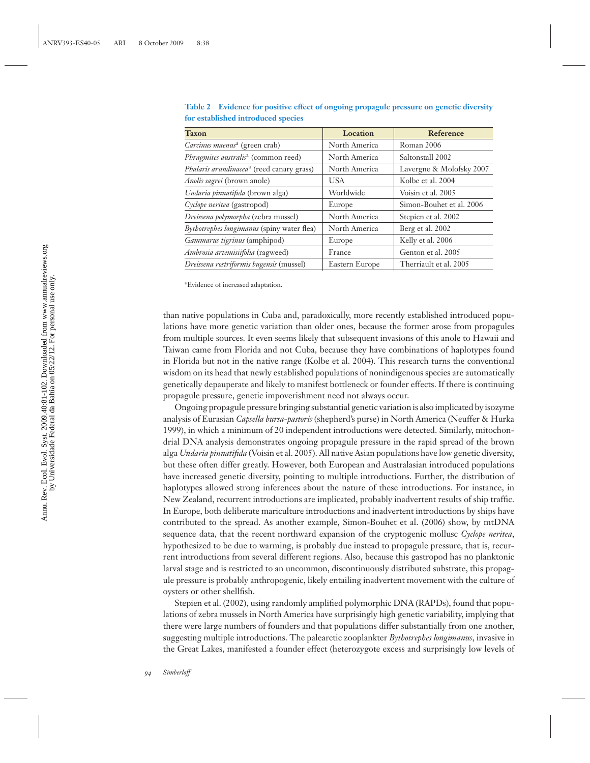| <b>Taxon</b>                                          | Location       | Reference                |
|-------------------------------------------------------|----------------|--------------------------|
| Carcinus maenus <sup>a</sup> (green crab)             | North America  | Roman 2006               |
| Phragmites australis <sup>a</sup> (common reed)       | North America  | Saltonstall 2002         |
| Phalaris arundinacea <sup>a</sup> (reed canary grass) | North America  | Lavergne & Molofsky 2007 |
| Anolis sagrei (brown anole)                           | <b>USA</b>     | Kolbe et al. 2004        |
| Undaria pinnatifida (brown alga)                      | Worldwide      | Voisin et al. 2005       |
| Cyclope neritea (gastropod)                           | Europe         | Simon-Bouhet et al. 2006 |
| Dreissena polymorpha (zebra mussel)                   | North America  | Stepien et al. 2002      |
| Bythotrephes longimanus (spiny water flea)            | North America  | Berg et al. 2002         |
| Gammarus tigrinus (amphipod)                          | Europe         | Kelly et al. 2006        |
| Ambrosia artemisiifolia (ragweed)                     | France         | Genton et al. 2005       |
| Dreissena rostriformis bugensis (mussel)              | Eastern Europe | Therriault et al. 2005   |

**Table 2 Evidence for positive effect of ongoing propagule pressure on genetic diversity for established introduced species**

aEvidence of increased adaptation.

than native populations in Cuba and, paradoxically, more recently established introduced populations have more genetic variation than older ones, because the former arose from propagules from multiple sources. It even seems likely that subsequent invasions of this anole to Hawaii and Taiwan came from Florida and not Cuba, because they have combinations of haplotypes found in Florida but not in the native range (Kolbe et al. 2004). This research turns the conventional wisdom on its head that newly established populations of nonindigenous species are automatically genetically depauperate and likely to manifest bottleneck or founder effects. If there is continuing propagule pressure, genetic impoverishment need not always occur.

Ongoing propagule pressure bringing substantial genetic variation is also implicated by isozyme analysis of Eurasian *Capsella bursa-pastoris* (shepherd's purse) in North America (Neuffer & Hurka 1999), in which a minimum of 20 independent introductions were detected. Similarly, mitochondrial DNA analysis demonstrates ongoing propagule pressure in the rapid spread of the brown alga *Undaria pinnatifida* (Voisin et al. 2005). All native Asian populations have low genetic diversity, but these often differ greatly. However, both European and Australasian introduced populations have increased genetic diversity, pointing to multiple introductions. Further, the distribution of haplotypes allowed strong inferences about the nature of these introductions. For instance, in New Zealand, recurrent introductions are implicated, probably inadvertent results of ship traffic. In Europe, both deliberate mariculture introductions and inadvertent introductions by ships have contributed to the spread. As another example, Simon-Bouhet et al. (2006) show, by mtDNA sequence data, that the recent northward expansion of the cryptogenic mollusc *Cyclope neritea*, hypothesized to be due to warming, is probably due instead to propagule pressure, that is, recurrent introductions from several different regions. Also, because this gastropod has no planktonic larval stage and is restricted to an uncommon, discontinuously distributed substrate, this propagule pressure is probably anthropogenic, likely entailing inadvertent movement with the culture of oysters or other shellfish.

Stepien et al. (2002), using randomly amplified polymorphic DNA (RAPDs), found that populations of zebra mussels in North America have surprisingly high genetic variability, implying that there were large numbers of founders and that populations differ substantially from one another, suggesting multiple introductions. The palearctic zooplankter *Bythotrephes longimanus*, invasive in the Great Lakes, manifested a founder effect (heterozygote excess and surprisingly low levels of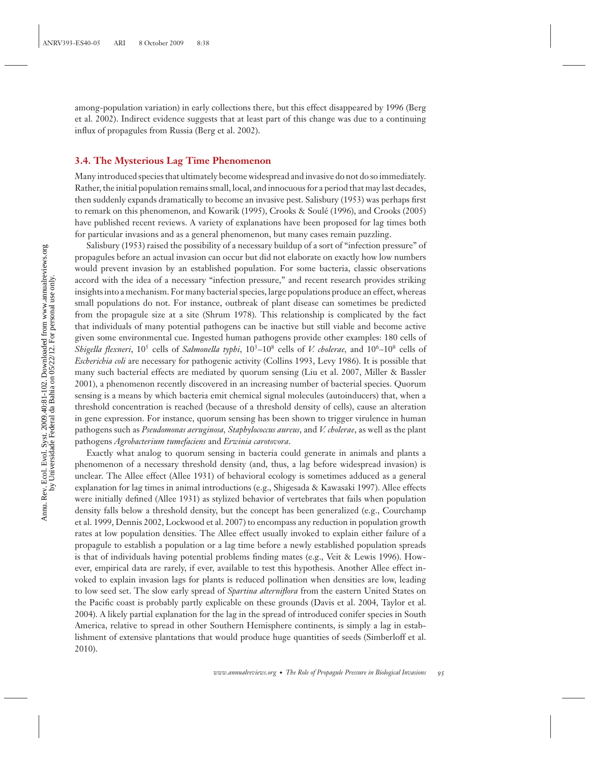among-population variation) in early collections there, but this effect disappeared by 1996 (Berg et al. 2002). Indirect evidence suggests that at least part of this change was due to a continuing influx of propagules from Russia (Berg et al. 2002).

#### **3.4. The Mysterious Lag Time Phenomenon**

Many introduced species that ultimately become widespread and invasive do not do so immediately. Rather, the initial population remains small, local, and innocuous for a period that may last decades, then suddenly expands dramatically to become an invasive pest. Salisbury (1953) was perhaps first to remark on this phenomenon, and Kowarik (1995), Crooks & Soule (1996), and Crooks (2005) ´ have published recent reviews. A variety of explanations have been proposed for lag times both for particular invasions and as a general phenomenon, but many cases remain puzzling.

Salisbury (1953) raised the possibility of a necessary buildup of a sort of "infection pressure" of propagules before an actual invasion can occur but did not elaborate on exactly how low numbers would prevent invasion by an established population. For some bacteria, classic observations accord with the idea of a necessary "infection pressure," and recent research provides striking insights into a mechanism. For many bacterial species, large populations produce an effect, whereas small populations do not. For instance, outbreak of plant disease can sometimes be predicted from the propagule size at a site (Shrum 1978). This relationship is complicated by the fact that individuals of many potential pathogens can be inactive but still viable and become active given some environmental cue. Ingested human pathogens provide other examples: 180 cells of *Shigella flexneri*,  $10^5$  cells of *Salmonella typhi*,  $10^3-10^8$  cells of *V. cholerae*, and  $10^6-10^8$  cells of *Escherichia coli* are necessary for pathogenic activity (Collins 1993, Levy 1986). It is possible that many such bacterial effects are mediated by quorum sensing (Liu et al. 2007, Miller & Bassler 2001), a phenomenon recently discovered in an increasing number of bacterial species. Quorum sensing is a means by which bacteria emit chemical signal molecules (autoinducers) that, when a threshold concentration is reached (because of a threshold density of cells), cause an alteration in gene expression. For instance, quorum sensing has been shown to trigger virulence in human pathogens such as *Pseudomonas aeruginosa, Staphylococcus aureus*, and *V. cholerae*, as well as the plant pathogens *Agrobacterium tumefaciens* and *Erwinia carotovora*.

Exactly what analog to quorum sensing in bacteria could generate in animals and plants a phenomenon of a necessary threshold density (and, thus, a lag before widespread invasion) is unclear. The Allee effect (Allee 1931) of behavioral ecology is sometimes adduced as a general explanation for lag times in animal introductions (e.g., Shigesada & Kawasaki 1997). Allee effects were initially defined (Allee 1931) as stylized behavior of vertebrates that fails when population density falls below a threshold density, but the concept has been generalized (e.g., Courchamp et al. 1999, Dennis 2002, Lockwood et al. 2007) to encompass any reduction in population growth rates at low population densities. The Allee effect usually invoked to explain either failure of a propagule to establish a population or a lag time before a newly established population spreads is that of individuals having potential problems finding mates (e.g., Veit & Lewis 1996). However, empirical data are rarely, if ever, available to test this hypothesis. Another Allee effect invoked to explain invasion lags for plants is reduced pollination when densities are low, leading to low seed set. The slow early spread of *Spartina alterniflora* from the eastern United States on the Pacific coast is probably partly explicable on these grounds (Davis et al. 2004, Taylor et al. 2004). A likely partial explanation for the lag in the spread of introduced conifer species in South America, relative to spread in other Southern Hemisphere continents, is simply a lag in establishment of extensive plantations that would produce huge quantities of seeds (Simberloff et al. 2010).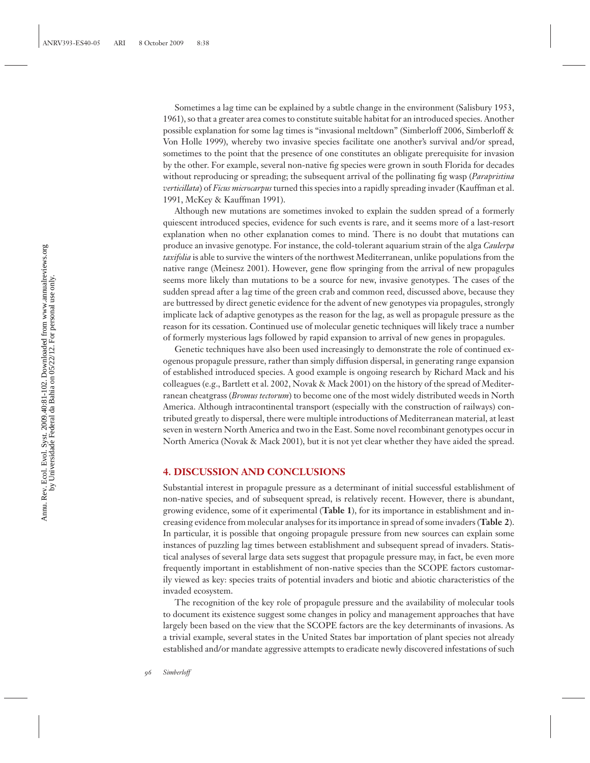Sometimes a lag time can be explained by a subtle change in the environment (Salisbury 1953, 1961), so that a greater area comes to constitute suitable habitat for an introduced species. Another possible explanation for some lag times is "invasional meltdown" (Simberloff 2006, Simberloff & Von Holle 1999), whereby two invasive species facilitate one another's survival and/or spread, sometimes to the point that the presence of one constitutes an obligate prerequisite for invasion by the other. For example, several non-native fig species were grown in south Florida for decades without reproducing or spreading; the subsequent arrival of the pollinating fig wasp (*Parapristina verticillata*) of *Ficus microcarpus* turned this species into a rapidly spreading invader (Kauffman et al. 1991, McKey & Kauffman 1991).

Although new mutations are sometimes invoked to explain the sudden spread of a formerly quiescent introduced species, evidence for such events is rare, and it seems more of a last-resort explanation when no other explanation comes to mind. There is no doubt that mutations can produce an invasive genotype. For instance, the cold-tolerant aquarium strain of the alga *Caulerpa taxifolia* is able to survive the winters of the northwest Mediterranean, unlike populations from the native range (Meinesz 2001). However, gene flow springing from the arrival of new propagules seems more likely than mutations to be a source for new, invasive genotypes. The cases of the sudden spread after a lag time of the green crab and common reed, discussed above, because they are buttressed by direct genetic evidence for the advent of new genotypes via propagules, strongly implicate lack of adaptive genotypes as the reason for the lag, as well as propagule pressure as the reason for its cessation. Continued use of molecular genetic techniques will likely trace a number of formerly mysterious lags followed by rapid expansion to arrival of new genes in propagules.

Genetic techniques have also been used increasingly to demonstrate the role of continued exogenous propagule pressure, rather than simply diffusion dispersal, in generating range expansion of established introduced species. A good example is ongoing research by Richard Mack and his colleagues (e.g., Bartlett et al. 2002, Novak & Mack 2001) on the history of the spread of Mediterranean cheatgrass (*Bromus tectorum*) to become one of the most widely distributed weeds in North America. Although intracontinental transport (especially with the construction of railways) contributed greatly to dispersal, there were multiple introductions of Mediterranean material, at least seven in western North America and two in the East. Some novel recombinant genotypes occur in North America (Novak & Mack 2001), but it is not yet clear whether they have aided the spread.

#### **4. DISCUSSION AND CONCLUSIONS**

Substantial interest in propagule pressure as a determinant of initial successful establishment of non-native species, and of subsequent spread, is relatively recent. However, there is abundant, growing evidence, some of it experimental (**Table 1**), for its importance in establishment and increasing evidence from molecular analyses for its importance in spread of some invaders (**Table 2**). In particular, it is possible that ongoing propagule pressure from new sources can explain some instances of puzzling lag times between establishment and subsequent spread of invaders. Statistical analyses of several large data sets suggest that propagule pressure may, in fact, be even more frequently important in establishment of non-native species than the SCOPE factors customarily viewed as key: species traits of potential invaders and biotic and abiotic characteristics of the invaded ecosystem.

The recognition of the key role of propagule pressure and the availability of molecular tools to document its existence suggest some changes in policy and management approaches that have largely been based on the view that the SCOPE factors are the key determinants of invasions. As a trivial example, several states in the United States bar importation of plant species not already established and/or mandate aggressive attempts to eradicate newly discovered infestations of such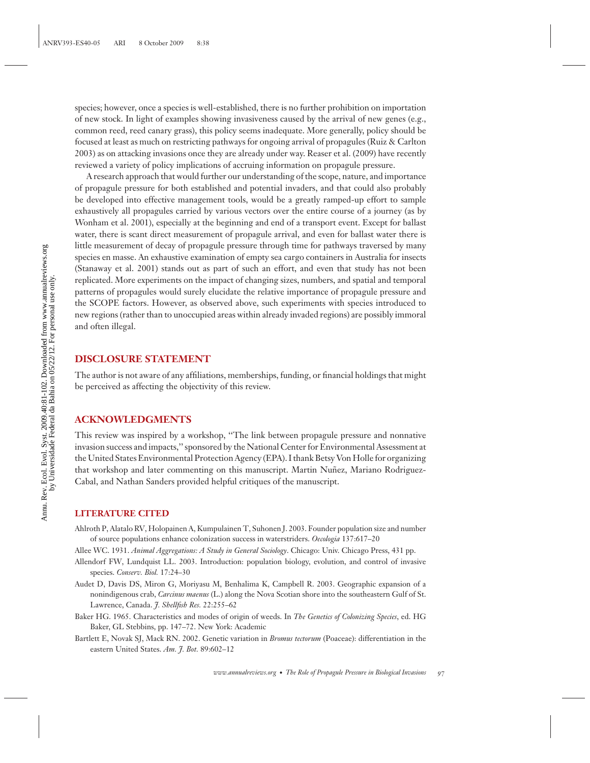species; however, once a species is well-established, there is no further prohibition on importation of new stock. In light of examples showing invasiveness caused by the arrival of new genes (e.g., common reed, reed canary grass), this policy seems inadequate. More generally, policy should be focused at least as much on restricting pathways for ongoing arrival of propagules (Ruiz & Carlton 2003) as on attacking invasions once they are already under way. Reaser et al. (2009) have recently reviewed a variety of policy implications of accruing information on propagule pressure.

A research approach that would further our understanding of the scope, nature, and importance of propagule pressure for both established and potential invaders, and that could also probably be developed into effective management tools, would be a greatly ramped-up effort to sample exhaustively all propagules carried by various vectors over the entire course of a journey (as by Wonham et al. 2001), especially at the beginning and end of a transport event. Except for ballast water, there is scant direct measurement of propagule arrival, and even for ballast water there is little measurement of decay of propagule pressure through time for pathways traversed by many species en masse. An exhaustive examination of empty sea cargo containers in Australia for insects (Stanaway et al. 2001) stands out as part of such an effort, and even that study has not been replicated. More experiments on the impact of changing sizes, numbers, and spatial and temporal patterns of propagules would surely elucidate the relative importance of propagule pressure and the SCOPE factors. However, as observed above, such experiments with species introduced to new regions (rather than to unoccupied areas within already invaded regions) are possibly immoral and often illegal.

#### **DISCLOSURE STATEMENT**

The author is not aware of any affiliations, memberships, funding, or financial holdings that might be perceived as affecting the objectivity of this review.

#### **ACKNOWLEDGMENTS**

This review was inspired by a workshop, ''The link between propagule pressure and nonnative invasion success and impacts,'' sponsored by the National Center for Environmental Assessment at the United States Environmental Protection Agency (EPA). I thank Betsy Von Holle for organizing that workshop and later commenting on this manuscript. Martin Nuñez, Mariano Rodriguez-Cabal, and Nathan Sanders provided helpful critiques of the manuscript.

#### **LITERATURE CITED**

- Ahlroth P, Alatalo RV, Holopainen A, Kumpulainen T, Suhonen J. 2003. Founder population size and number of source populations enhance colonization success in waterstriders. *Oecologia* 137:617–20
- Allee WC. 1931. *Animal Aggregations: A Study in General Sociology*. Chicago: Univ. Chicago Press, 431 pp.
- Allendorf FW, Lundquist LL. 2003. Introduction: population biology, evolution, and control of invasive species. *Conserv. Biol.* 17:24–30
- Audet D, Davis DS, Miron G, Moriyasu M, Benhalima K, Campbell R. 2003. Geographic expansion of a nonindigenous crab, *Carcinus maenus* (L.) along the Nova Scotian shore into the southeastern Gulf of St. Lawrence, Canada. *J. Shellfish Res.* 22:255–62
- Baker HG. 1965. Characteristics and modes of origin of weeds. In *The Genetics of Colonizing Species*, ed. HG Baker, GL Stebbins, pp. 147–72. New York: Academic
- Bartlett E, Novak SJ, Mack RN. 2002. Genetic variation in *Bromus tectorum* (Poaceae): differentiation in the eastern United States. *Am. J. Bot.* 89:602–12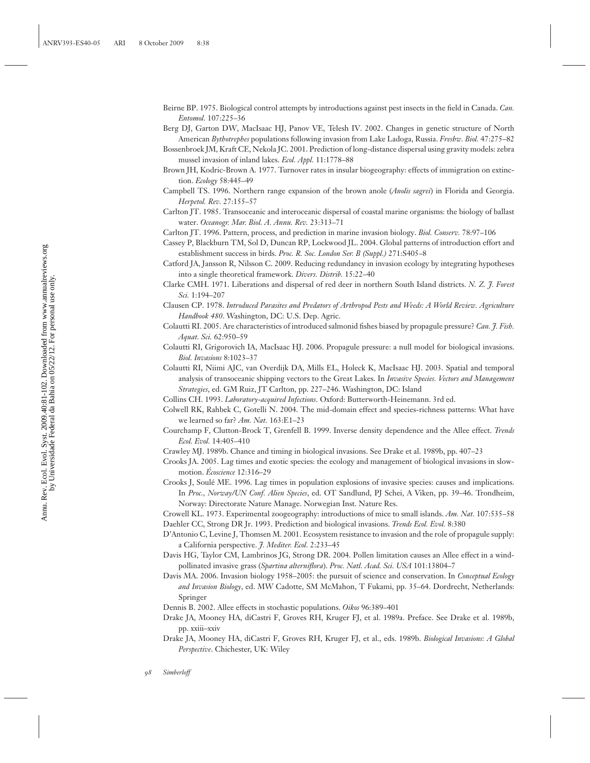- Beirne BP. 1975. Biological control attempts by introductions against pest insects in the field in Canada. *Can. Entomol.* 107:225–36
- Berg DJ, Garton DW, MacIsaac HJ, Panov VE, Telesh IV. 2002. Changes in genetic structure of North American *Bythotrephes* populations following invasion from Lake Ladoga, Russia. *Freshw. Biol.* 47:275–82

Bossenbroek JM, Kraft CE, Nekola JC. 2001. Prediction of long-distance dispersal using gravity models: zebra mussel invasion of inland lakes. *Ecol. Appl.* 11:1778–88

- Brown JH, Kodric-Brown A. 1977. Turnover rates in insular biogeography: effects of immigration on extinction. *Ecology* 58:445–49
- Campbell TS. 1996. Northern range expansion of the brown anole (*Anolis sagrei*) in Florida and Georgia. *Herpetol. Rev.* 27:155–57
- Carlton JT. 1985. Transoceanic and interoceanic dispersal of coastal marine organisms: the biology of ballast water. *Oceanogr. Mar. Biol. A. Annu. Rev.* 23:313–71
- Carlton JT. 1996. Pattern, process, and prediction in marine invasion biology. *Biol. Conserv.* 78:97–106
- Cassey P, Blackburn TM, Sol D, Duncan RP, Lockwood JL. 2004. Global patterns of introduction effort and establishment success in birds. *Proc. R. Soc. London Ser. B (Suppl.)* 271:S405–8
- Catford JA, Jansson R, Nilsson C. 2009. Reducing redundancy in invasion ecology by integrating hypotheses into a single theoretical framework. *Divers. Distrib.* 15:22–40
- Clarke CMH. 1971. Liberations and dispersal of red deer in northern South Island districts. *N. Z. J. Forest Sci.* 1:194–207
- Clausen CP. 1978. *Introduced Parasites and Predators of Arthropod Pests and Weeds: A World Review. Agriculture Handbook 480*. Washington, DC: U.S. Dep. Agric.
- Colautti RI. 2005. Are characteristics of introduced salmonid fishes biased by propagule pressure? *Can. J. Fish. Aquat. Sci.* 62:950–59
- Colautti RI, Grigorovich IA, MacIsaac HJ. 2006. Propagule pressure: a null model for biological invasions. *Biol. Invasions* 8:1023–37
- Colautti RI, Niimi AJC, van Overdijk DA, Mills EL, Holeck K, MacIsaac HJ. 2003. Spatial and temporal analysis of transoceanic shipping vectors to the Great Lakes. In *Invasive Species. Vectors and Management Strategies*, ed. GM Ruiz, JT Carlton, pp. 227–246. Washington, DC: Island
- Collins CH. 1993. *Laboratory-acquired Infections*. Oxford: Butterworth-Heinemann. 3rd ed.
- Colwell RK, Rahbek C, Gotelli N. 2004. The mid-domain effect and species-richness patterns: What have we learned so far? *Am. Nat.* 163:E1–23
- Courchamp F, Clutton-Brock T, Grenfell B. 1999. Inverse density dependence and the Allee effect. *Trends Ecol. Evol.* 14:405–410
- Crawley MJ. 1989b. Chance and timing in biological invasions. See Drake et al. 1989b, pp. 407–23
- Crooks JA. 2005. Lag times and exotic species: the ecology and management of biological invasions in slowmotion. *Ecoscience ´* 12:316–29
- Crooks J, Soule ME. 1996. Lag times in population explosions of invasive species: causes and implications. ´ In *Proc., Norway/UN Conf. Alien Species*, ed. OT Sandlund, PJ Schei, A Viken, pp. 39–46. Trondheim, Norway: Directorate Nature Manage. Norwegian Inst. Nature Res.
- Crowell KL. 1973. Experimental zoogeography: introductions of mice to small islands. *Am. Nat.* 107:535–58
- Daehler CC, Strong DR Jr. 1993. Prediction and biological invasions. *Trends Ecol. Evol.* 8:380
- D'Antonio C, Levine J, Thomsen M. 2001. Ecosystem resistance to invasion and the role of propagule supply: a California perspective. *J. Mediter. Ecol.* 2:233–45
- Davis HG, Taylor CM, Lambrinos JG, Strong DR. 2004. Pollen limitation causes an Allee effect in a windpollinated invasive grass (*Spartina alterniflora*). *Proc. Natl. Acad. Sci. USA* 101:13804–7
- Davis MA. 2006. Invasion biology 1958–2005: the pursuit of science and conservation. In *Conceptual Ecology and Invasion Biology*, ed. MW Cadotte, SM McMahon, T Fukami, pp. 35–64. Dordrecht, Netherlands: Springer
- Dennis B. 2002. Allee effects in stochastic populations. *Oikos* 96:389–401
- Drake JA, Mooney HA, diCastri F, Groves RH, Kruger FJ, et al. 1989a. Preface. See Drake et al. 1989b, pp. xxiii–xxiv
- Drake JA, Mooney HA, diCastri F, Groves RH, Kruger FJ, et al., eds. 1989b. *Biological Invasions: A Global Perspective*. Chichester, UK: Wiley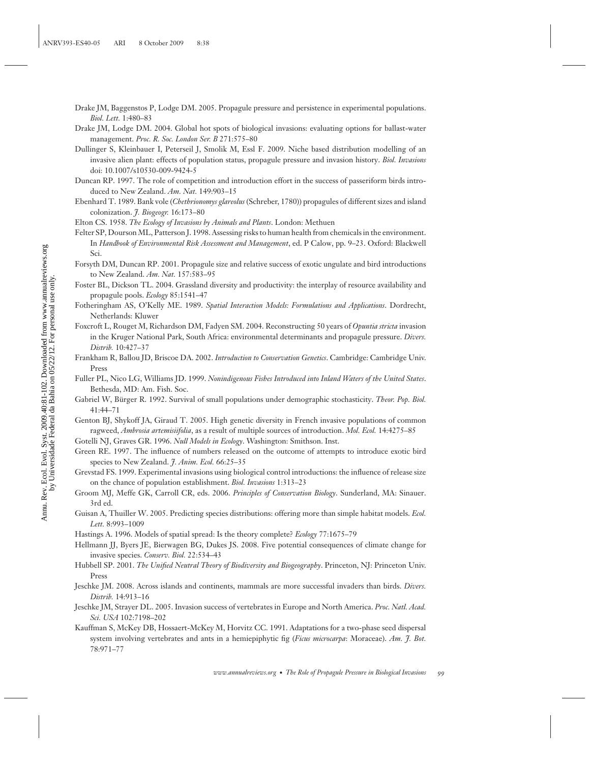- Drake JM, Baggenstos P, Lodge DM. 2005. Propagule pressure and persistence in experimental populations. *Biol. Lett.* 1:480–83
- Drake JM, Lodge DM. 2004. Global hot spots of biological invasions: evaluating options for ballast-water management. *Proc. R. Soc. London Ser. B* 271:575–80
- Dullinger S, Kleinbauer I, Peterseil J, Smolik M, Essl F. 2009. Niche based distribution modelling of an invasive alien plant: effects of population status, propagule pressure and invasion history. *Biol. Invasions* doi: 10.1007/s10530-009-9424-5
- Duncan RP. 1997. The role of competition and introduction effort in the success of passeriform birds introduced to New Zealand. *Am. Nat.* 149:903–15
- Ebenhard T. 1989. Bank vole (*Chethrionomys glareolus* (Schreber, 1780)) propagules of different sizes and island colonization. *J. Biogeogr.* 16:173–80
- Elton CS. 1958. *The Ecology of Invasions by Animals and Plants*. London: Methuen
- Felter SP, Dourson ML, Patterson J. 1998. Assessing risks to human health from chemicals in the environment. In *Handbook of Environmental Risk Assessment and Management*, ed. P Calow, pp. 9–23. Oxford: Blackwell Sci.
- Forsyth DM, Duncan RP. 2001. Propagule size and relative success of exotic ungulate and bird introductions to New Zealand. *Am. Nat.* 157:583–95
- Foster BL, Dickson TL. 2004. Grassland diversity and productivity: the interplay of resource availability and propagule pools. *Ecology* 85:1541–47
- Fotheringham AS, O'Kelly ME. 1989. *Spatial Interaction Models: Formulations and Applications*. Dordrecht, Netherlands: Kluwer
- Foxcroft L, Rouget M, Richardson DM, Fadyen SM. 2004. Reconstructing 50 years of *Opuntia stricta* invasion in the Kruger National Park, South Africa: environmental determinants and propagule pressure. *Divers. Distrib.* 10:427–37
- Frankham R, Ballou JD, Briscoe DA. 2002. *Introduction to Conservation Genetics*. Cambridge: Cambridge Univ. Press
- Fuller PL, Nico LG, Williams JD. 1999. *Nonindigenous Fishes Introduced into Inland Waters of the United States*. Bethesda, MD: Am. Fish. Soc.
- Gabriel W, Bürger R. 1992. Survival of small populations under demographic stochasticity. *Theor. Pop. Biol.* 41:44–71
- Genton BJ, Shykoff JA, Giraud T. 2005. High genetic diversity in French invasive populations of common ragweed, *Ambrosia artemisiifolia*, as a result of multiple sources of introduction. *Mol. Ecol.* 14:4275–85
- Gotelli NJ, Graves GR. 1996. *Null Models in Ecology*. Washington: Smithson. Inst.
- Green RE. 1997. The influence of numbers released on the outcome of attempts to introduce exotic bird species to New Zealand. *J. Anim. Ecol.* 66:25–35
- Grevstad FS. 1999. Experimental invasions using biological control introductions: the influence of release size on the chance of population establishment. *Biol. Invasions* 1:313–23
- Groom MJ, Meffe GK, Carroll CR, eds. 2006. *Principles of Conservation Biology*. Sunderland, MA: Sinauer. 3rd ed.
- Guisan A, Thuiller W. 2005. Predicting species distributions: offering more than simple habitat models. *Ecol. Lett.* 8:993–1009
- Hastings A. 1996. Models of spatial spread: Is the theory complete? *Ecology* 77:1675–79
- Hellmann JJ, Byers JE, Bierwagen BG, Dukes JS. 2008. Five potential consequences of climate change for invasive species. *Conserv. Biol.* 22:534–43
- Hubbell SP. 2001. *The Unified Neutral Theory of Biodiversity and Biogeography*. Princeton, NJ: Princeton Univ. Press
- Jeschke JM. 2008. Across islands and continents, mammals are more successful invaders than birds. *Divers. Distrib.* 14:913–16
- Jeschke JM, Strayer DL. 2005. Invasion success of vertebrates in Europe and North America. *Proc. Natl. Acad. Sci. USA* 102:7198–202
- Kauffman S, McKey DB, Hossaert-McKey M, Horvitz CC. 1991. Adaptations for a two-phase seed dispersal system involving vertebrates and ants in a hemiepiphytic fig (*Ficus microcarpa*: Moraceae). *Am. J. Bot.* 78:971–77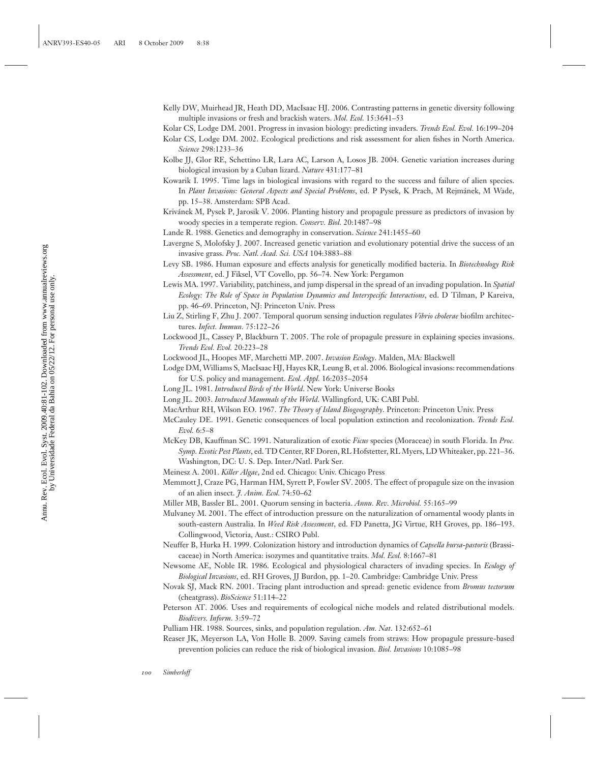- Kelly DW, Muirhead JR, Heath DD, MacIsaac HJ. 2006. Contrasting patterns in genetic diversity following multiple invasions or fresh and brackish waters. *Mol. Ecol.* 15:3641–53
- Kolar CS, Lodge DM. 2001. Progress in invasion biology: predicting invaders. *Trends Ecol. Evol.* 16:199–204
- Kolar CS, Lodge DM. 2002. Ecological predictions and risk assessment for alien fishes in North America. *Science* 298:1233–36
- Kolbe JJ, Glor RE, Schettino LR, Lara AC, Larson A, Losos JB. 2004. Genetic variation increases during biological invasion by a Cuban lizard. *Nature* 431:177–81
- Kowarik I. 1995. Time lags in biological invasions with regard to the success and failure of alien species. In Plant Invasions: General Aspects and Special Problems, ed. P Pysek, K Prach, M Rejmánek, M Wade, pp. 15–38. Amsterdam: SPB Acad.
- Krivánek M, Pysek P, Jarosik V. 2006. Planting history and propagule pressure as predictors of invasion by woody species in a temperate region. *Conserv. Biol.* 20:1487–98
- Lande R. 1988. Genetics and demography in conservation. *Science* 241:1455–60
- Lavergne S, Molofsky J. 2007. Increased genetic variation and evolutionary potential drive the success of an invasive grass. *Proc. Natl. Acad. Sci. USA* 104:3883–88
- Levy SB. 1986. Human exposure and effects analysis for genetically modified bacteria. In *Biotechnology Risk Assessment*, ed. J Fiksel, VT Covello, pp. 56–74. New York: Pergamon
- Lewis MA. 1997. Variability, patchiness, and jump dispersal in the spread of an invading population. In *Spatial Ecology: The Role of Space in Population Dynamics and Interspecific Interactions*, ed. D Tilman, P Kareiva, pp. 46–69. Princeton, NJ: Princeton Univ. Press
- Liu Z, Stirling F, Zhu J. 2007. Temporal quorum sensing induction regulates *Vibrio cholerae* biofilm architectures. *Infect. Immun.* 75:122–26
- Lockwood JL, Cassey P, Blackburn T. 2005. The role of propagule pressure in explaining species invasions. *Trends Ecol. Evol.* 20:223–28
- Lockwood JL, Hoopes MF, Marchetti MP. 2007. *Invasion Ecology*. Malden, MA: Blackwell
- Lodge DM, Williams S, MacIsaac HJ, Hayes KR, Leung B, et al. 2006. Biological invasions: recommendations for U.S. policy and management. *Ecol. Appl.* 16:2035–2054
- Long JL. 1981. *Introduced Birds of the World*. New York: Universe Books
- Long JL. 2003. *Introduced Mammals of the World*. Wallingford, UK: CABI Publ.
- MacArthur RH, Wilson EO. 1967. *The Theory of Island Biogeography*. Princeton: Princeton Univ. Press
- McCauley DE. 1991. Genetic consequences of local population extinction and recolonization. *Trends Ecol. Evol.* 6:5–8
- McKey DB, Kauffman SC. 1991. Naturalization of exotic *Ficus* species (Moraceae) in south Florida. In *Proc. Symp. Exotic Pest Plants*, ed. TD Center, RF Doren, RL Hofstetter, RL Myers, LD Whiteaker, pp. 221–36. Washington, DC: U. S. Dep. Inter./Natl. Park Ser.
- Meinesz A. 2001. *Killer Algae*, 2nd ed. Chicago: Univ. Chicago Press
- Memmott J, Craze PG, Harman HM, Syrett P, Fowler SV. 2005. The effect of propagule size on the invasion of an alien insect. *J. Anim. Ecol.* 74:50–62
- Miller MB, Bassler BL. 2001. Quorum sensing in bacteria. *Annu. Rev. Microbiol.* 55:165–99
- Mulvaney M. 2001. The effect of introduction pressure on the naturalization of ornamental woody plants in south-eastern Australia. In *Weed Risk Assessment*, ed. FD Panetta, JG Virtue, RH Groves, pp. 186–193. Collingwood, Victoria, Aust.: CSIRO Publ.
- Neuffer B, Hurka H. 1999. Colonization history and introduction dynamics of *Capsella bursa-pastoris* (Brassicaceae) in North America: isozymes and quantitative traits. *Mol. Ecol.* 8:1667–81
- Newsome AE, Noble IR. 1986. Ecological and physiological characters of invading species. In *Ecology of Biological Invasions*, ed. RH Groves, JJ Burdon, pp. 1–20. Cambridge: Cambridge Univ. Press
- Novak SJ, Mack RN. 2001. Tracing plant introduction and spread: genetic evidence from *Bromus tectorum* (cheatgrass). *BioScience* 51:114–22
- Peterson AT. 2006. Uses and requirements of ecological niche models and related distributional models. *Biodivers. Inform.* 3:59–72
- Pulliam HR. 1988. Sources, sinks, and population regulation. *Am. Nat*. 132:652–61
- Reaser JK, Meyerson LA, Von Holle B. 2009. Saving camels from straws: How propagule pressure-based prevention policies can reduce the risk of biological invasion. *Biol. Invasions* 10:1085–98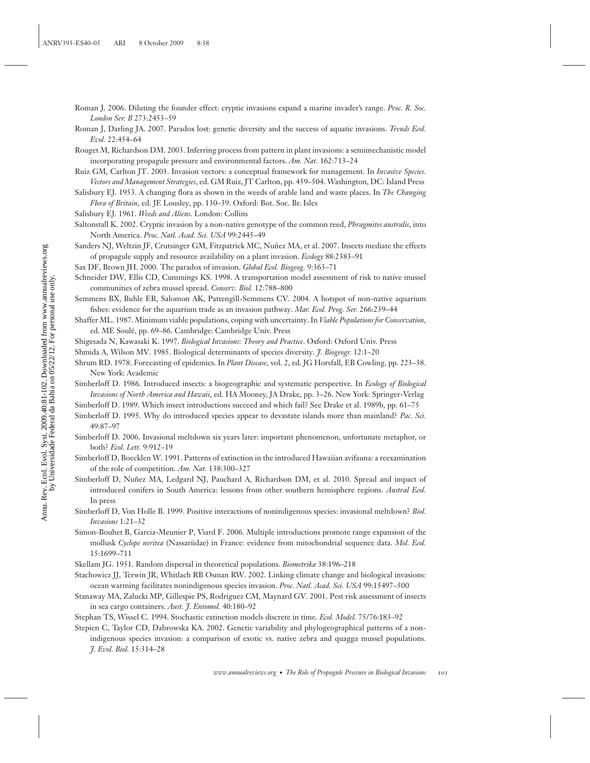Annu. Rev. Ecol. Evol. Syst. 2009.40:81-102. Downloaded from www.annualreviews.org<br>by Universidade Federal da Bahia on 05/22/12. For personal use only. Annu. Rev. Ecol. Evol. Syst. 2009.40:81-102. Downloaded from www.annualreviews.org by Universidade Federal da Bahia on 05/22/12. For personal use only.

- Roman J. 2006. Diluting the founder effect: cryptic invasions expand a marine invader's range. *Proc. R. Soc. London Ser. B* 273:2453–59
- Roman J, Darling JA. 2007. Paradox lost: genetic diversity and the success of aquatic invasions. *Trends Ecol. Evol.* 22:454–64
- Rouget M, Richardson DM. 2003. Inferring process from pattern in plant invasions: a semimechanistic model incorporating propagule pressure and environmental factors. *Am. Nat.* 162:713–24
- Ruiz GM, Carlton JT. 2003. Invasion vectors: a conceptual framework for management. In *Invasive Species. Vectors and Management Strategies*, ed. GM Ruiz, JT Carlton, pp. 459–504. Washington, DC: Island Press
- Salisbury EJ. 1953. A changing flora as shown in the weeds of arable land and waste places. In *The Changing Flora of Britain*, ed. JE Lousley, pp. 130–39. Oxford: Bot. Soc. Br. Isles
- Salisbury EJ. 1961. *Weeds and Aliens*. London: Collins
- Saltonstall K. 2002. Cryptic invasion by a non-native genotype of the common reed, *Phragmites australis*, into North America. *Proc. Natl. Acad. Sci. USA* 99:2445–49
- Sanders NJ, Weltzin JF, Crutsinger GM, Fitzpatrick MC, Nuñez MA, et al. 2007. Insects mediate the effects of propagule supply and resource availability on a plant invasion. *Ecology* 88:2383–91
- Sax DF, Brown JH. 2000. The paradox of invasion. *Global Ecol. Biogeog.* 9:363–71
- Schneider DW, Ellis CD, Cummings KS. 1998. A transportation model assessment of risk to native mussel communities of zebra mussel spread. *Conserv. Biol.* 12:788–800
- Semmens BX, Buhle ER, Salomon AK, Pattengill-Semmens CV. 2004. A hotspot of non-native aquarium fishes: evidence for the aquarium trade as an invasion pathway. *Mar. Ecol. Prog. Ser.* 266:239–44
- Shaffer ML. 1987. Minimum viable populations, coping with uncertainty. In *Viable Populations for Conservation*, ed. ME Soule, pp. 69–86. Cambridge: Cambridge Univ. Press ´
- Shigesada N, Kawasaki K. 1997. *Biological Invasions: Theory and Practice*. Oxford: Oxford Univ. Press
- Shmida A, Wilson MV. 1985. Biological determinants of species diversity. *J. Biogeogr.* 12:1–20
- Shrum RD. 1978. Forecasting of epidemics. In *Plant Disease*, vol. 2, ed. JG Horsfall, EB Cowling, pp. 223–38. New York: Academic
- Simberloff D. 1986. Introduced insects: a biogeographic and systematic perspective. In *Ecology of Biological Invasions of North America and Hawaii*, ed. HA Mooney, JA Drake, pp. 3–26. New York: Springer-Verlag
- Simberloff D. 1989. Which insect introductions succeed and which fail? See Drake et al. 1989b, pp. 61–75
- Simberloff D. 1995. Why do introduced species appear to devastate islands more than mainland? *Pac. Sci.* 49:87–97
- Simberloff D. 2006. Invasional meltdown six years later: important phenomenon, unfortunate metaphor, or both? *Ecol. Lett.* 9:912–19
- Simberloff D, Boecklen W. 1991. Patterns of extinction in the introduced Hawaiian avifauna: a reexamination of the role of competition. *Am. Nat.* 138:300–327
- Simberloff D, Nuñez MA, Ledgard NJ, Pauchard A, Richardson DM, et al. 2010. Spread and impact of introduced conifers in South America: lessons from other southern hemisphere regions. *Austral Ecol.* In press
- Simberloff D, Von Holle B. 1999. Positive interactions of nonindigenous species: invasional meltdown? *Biol. Invasions* 1:21–32
- Simon-Bouhet B, Garcia-Meunier P, Viard F. 2006. Multiple introductions promote range expansion of the mollusk *Cyclope neritea* (Nassariidae) in France: evidence from mitochondrial sequence data. *Mol. Ecol.* 15:1699–711
- Skellam JG. 1951. Random dispersal in theoretical populations. *Biometrika* 38:196–218
- Stachowicz JJ, Terwin JR, Whitlach RB Osman RW. 2002. Linking climate change and biological invasions: ocean warming facilitates nonindigenous species invasion. *Proc. Natl. Acad. Sci. USA* 99:15497–500
- Stanaway MA, Zalucki MP, Gillespie PS, Rodriguez CM, Maynard GV. 2001. Pest risk assessment of insects in sea cargo containers. *Aust. J. Entomol.* 40:180–92
- Stephan TS, Wissel C. 1994. Stochastic extinction models discrete in time. *Ecol. Model.* 75/76:183–92
- Stepien C, Taylor CD, Dabrowska KA. 2002. Genetic variability and phylogeographical patterns of a nonindigenous species invasion: a comparison of exotic vs. native zebra and quagga mussel populations. *J. Evol. Biol.* 15:314–28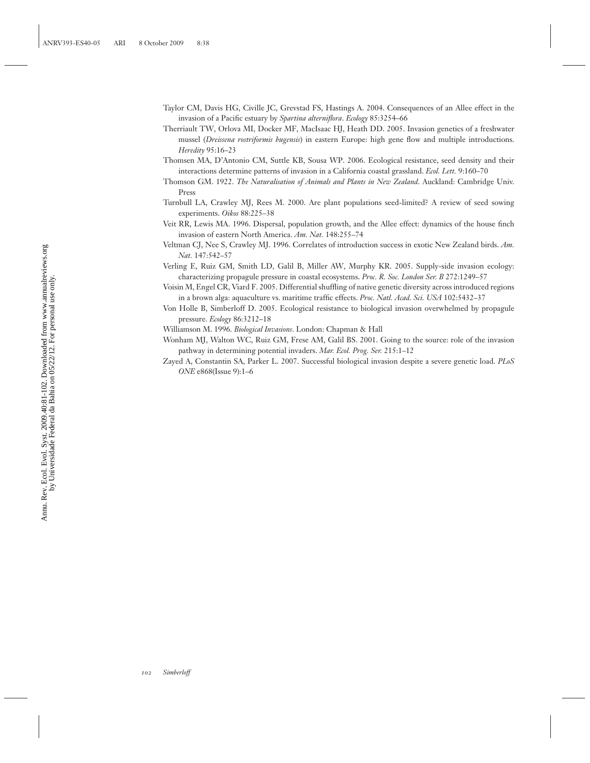- Taylor CM, Davis HG, Civille JC, Grevstad FS, Hastings A. 2004. Consequences of an Allee effect in the invasion of a Pacific estuary by *Spartina alterniflora*. *Ecology* 85:3254–66
- Therriault TW, Orlova MI, Docker MF, MacIsaac HJ, Heath DD. 2005. Invasion genetics of a freshwater mussel (*Dreissena rostriformis bugensis*) in eastern Europe: high gene flow and multiple introductions. *Heredity* 95:16–23
- Thomsen MA, D'Antonio CM, Suttle KB, Sousa WP. 2006. Ecological resistance, seed density and their interactions determine patterns of invasion in a California coastal grassland. *Ecol. Lett.* 9:160–70
- Thomson GM. 1922. *The Naturalisation of Animals and Plants in New Zealand*. Auckland: Cambridge Univ. Press
- Turnbull LA, Crawley MJ, Rees M. 2000. Are plant populations seed-limited? A review of seed sowing experiments. *Oikos* 88:225–38
- Veit RR, Lewis MA. 1996. Dispersal, population growth, and the Allee effect: dynamics of the house finch invasion of eastern North America. *Am. Nat.* 148:255–74
- Veltman CJ, Nee S, Crawley MJ. 1996. Correlates of introduction success in exotic New Zealand birds. *Am. Nat.* 147:542–57
- Verling E, Ruiz GM, Smith LD, Galil B, Miller AW, Murphy KR. 2005. Supply-side invasion ecology: characterizing propagule pressure in coastal ecosystems. *Proc. R. Soc. London Ser. B* 272:1249–57
- Voisin M, Engel CR, Viard F. 2005. Differential shuffling of native genetic diversity across introduced regions in a brown alga: aquaculture vs. maritime traffic effects. *Proc. Natl. Acad. Sci. USA* 102:5432–37
- Von Holle B, Simberloff D. 2005. Ecological resistance to biological invasion overwhelmed by propagule pressure. *Ecology* 86:3212–18
- Williamson M. 1996. *Biological Invasions*. London: Chapman & Hall
- Wonham MJ, Walton WC, Ruiz GM, Frese AM, Galil BS. 2001. Going to the source: role of the invasion pathway in determining potential invaders. *Mar. Ecol. Prog. Ser.* 215:1–12
- Zayed A, Constantin SA, Parker L. 2007. Successful biological invasion despite a severe genetic load. *PLoS ONE* e868(Issue 9):1–6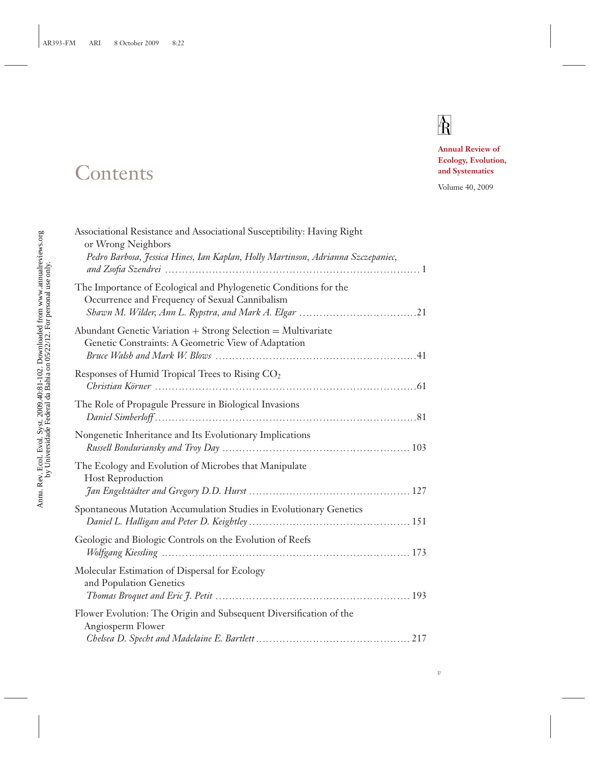# $\mathbb A$

*v*

**Annual Review of Ecology, Evolution, and Systematics**

Volume 40, 2009

# Associational Resistance and Associational Susceptibility: Having Right or Wrong Neighbors *Pedro Barbosa, Jessica Hines, Ian Kaplan, Holly Martinson, Adrianna Szczepaniec, and Zsofia Szendrei* **♣♣♣♣♣♣♣♣♣♣♣♣♣♣♣♣♣♣♣♣♣♣♣♣♣♣♣♣♣♣♣♣♣♣♣♣♣♣♣♣♣♣♣♣♣♣♣♣♣♣♣♣♣♣♣♣♣♣♣♣♣♣♣♣♣♣♣♣♣♣♣♣♣♣♣♣** 1 The Importance of Ecological and Phylogenetic Conditions for the Occurrence and Frequency of Sexual Cannibalism *Shawn M. Wilder, Ann L. Rypstra, and Mark A. Elgar* **♣♣♣♣♣♣♣♣♣♣♣♣♣♣♣♣♣♣♣♣♣♣♣♣♣♣♣♣♣♣♣♣♣♣♣**21 Abundant Genetic Variation + Strong Selection = Multivariate Genetic Constraints: A Geometric View of Adaptation *Bruce Walsh and Mark W. Blows* **♣♣♣♣♣♣♣♣♣♣♣♣♣♣♣♣♣♣♣♣♣♣♣♣♣♣♣♣♣♣♣♣♣♣♣♣♣♣♣♣♣♣♣♣♣♣♣♣♣♣♣♣♣♣♣♣♣♣♣♣**41 Responses of Humid Tropical Trees to Rising CO2 *Christian K¨orner* **♣♣♣♣♣♣♣♣♣♣♣♣♣♣♣♣♣♣♣♣♣♣♣♣♣♣♣♣♣♣♣♣♣♣♣♣♣♣♣♣♣♣♣♣♣♣♣♣♣♣♣♣♣♣♣♣♣♣♣♣♣♣♣♣♣♣♣♣♣♣♣♣♣♣♣♣♣♣**61 The Role of Propagule Pressure in Biological Invasions *Daniel Simberloff* **♣♣♣♣♣♣♣♣♣♣♣♣♣♣♣♣♣♣♣♣♣♣♣♣♣♣♣♣♣♣♣♣♣♣♣♣♣♣♣♣♣♣♣♣♣♣♣♣♣♣♣♣♣♣♣♣♣♣♣♣♣♣♣♣♣♣♣♣♣♣♣♣♣♣♣♣♣♣**81 Nongenetic Inheritance and Its Evolutionary Implications *Russell Bonduriansky and Troy Day* **♣♣♣♣♣♣♣♣♣♣♣♣♣♣♣♣♣♣♣♣♣♣♣♣♣♣♣♣♣♣♣♣♣♣♣♣♣♣♣♣♣♣♣♣♣♣♣♣♣♣♣♣♣♣♣♣** 103 The Ecology and Evolution of Microbes that Manipulate Host Reproduction *Jan Engelst¨adter and Gregory D.D. Hurst* **♣♣♣♣♣♣♣♣♣♣♣♣♣♣♣♣♣♣♣♣♣♣♣♣♣♣♣♣♣♣♣♣♣♣♣♣♣♣♣♣♣♣♣♣♣♣♣♣** 127 Spontaneous Mutation Accumulation Studies in Evolutionary Genetics *Daniel L. Halligan and Peter D. Keightley* **♣♣♣♣♣♣♣♣♣♣♣♣♣♣♣♣♣♣♣♣♣♣♣♣♣♣♣♣♣♣♣♣♣♣♣♣♣♣♣♣♣♣♣♣♣♣♣♣** 151 Geologic and Biologic Controls on the Evolution of Reefs *Wolfgang Kiessling* **♣♣♣♣♣♣♣♣♣♣♣♣♣♣♣♣♣♣♣♣♣♣♣♣♣♣♣♣♣♣♣♣♣♣♣♣♣♣♣♣♣♣♣♣♣♣♣♣♣♣♣♣♣♣♣♣♣♣♣♣♣♣♣♣♣♣♣♣♣♣♣♣♣♣** 173 Molecular Estimation of Dispersal for Ecology and Population Genetics *Thomas Broquet and Eric J. Petit* **♣♣♣♣♣♣♣♣♣♣♣♣♣♣♣♣♣♣♣♣♣♣♣♣♣♣♣♣♣♣♣♣♣♣♣♣♣♣♣♣♣♣♣♣♣♣♣♣♣♣♣♣♣♣♣♣♣♣** 193 Flower Evolution: The Origin and Subsequent Diversification of the Angiosperm Flower *Chelsea D. Specht and Madelaine E. Bartlett* **♣♣♣♣♣♣♣♣♣♣♣♣♣♣♣♣♣♣♣♣♣♣♣♣♣♣♣♣♣♣♣♣♣♣♣♣♣♣♣♣♣♣♣♣♣♣** 217

# Rev. Ecol. Evol. Syst. 2009.40:81-102. Downloaded from www.annualreviews.org<br>by Universidade Federal da Bahia on 05/22/12. For personal use only. Annu. Rev. Ecol. Evol. Syst. 2009.40:81-102. Downloaded from www.annualreviews.org by Universidade Federal da Bahia on 05/22/12. For personal use only.

Amu.

**Contents**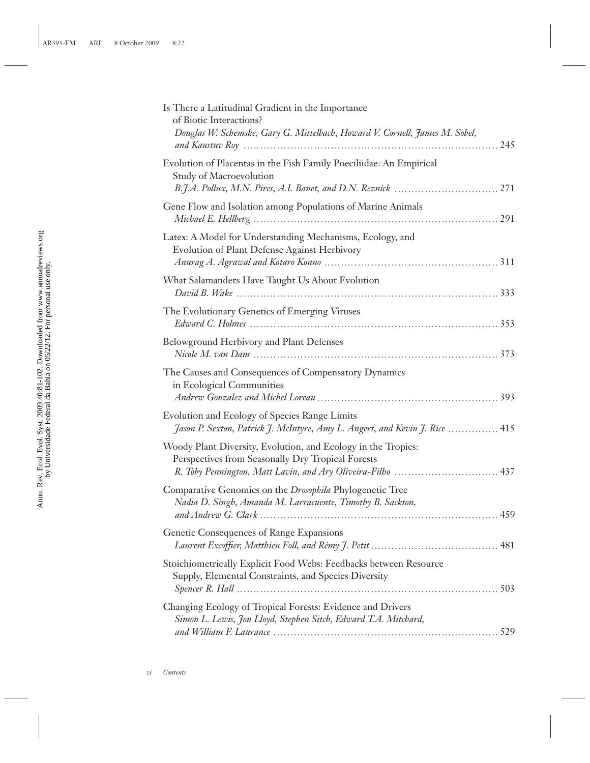| Is There a Latitudinal Gradient in the Importance<br>of Biotic Interactions?<br>Douglas W. Schemske, Gary G. Mittelbach, Howard V. Cornell, James M. Sobel, |
|-------------------------------------------------------------------------------------------------------------------------------------------------------------|
| Evolution of Placentas in the Fish Family Poeciliidae: An Empirical<br>Study of Macroevolution                                                              |
| Gene Flow and Isolation among Populations of Marine Animals                                                                                                 |
| Latex: A Model for Understanding Mechanisms, Ecology, and<br>Evolution of Plant Defense Against Herbivory                                                   |
| What Salamanders Have Taught Us About Evolution                                                                                                             |
| The Evolutionary Genetics of Emerging Viruses                                                                                                               |
| Belowground Herbivory and Plant Defenses                                                                                                                    |
| The Causes and Consequences of Compensatory Dynamics<br>in Ecological Communities                                                                           |
| Evolution and Ecology of Species Range Limits<br>Jason P. Sexton, Patrick J. McIntyre, Amy L. Angert, and Kevin J. Rice  415                                |
| Woody Plant Diversity, Evolution, and Ecology in the Tropics:<br>Perspectives from Seasonally Dry Tropical Forests                                          |
| Comparative Genomics on the Drosophila Phylogenetic Tree<br>Nadia D. Singh, Amanda M. Larracuente, Timothy B. Sackton,                                      |
| Genetic Consequences of Range Expansions                                                                                                                    |
| Stoichiometrically Explicit Food Webs: Feedbacks between Resource<br>Supply, Elemental Constraints, and Species Diversity                                   |
| Changing Ecology of Tropical Forests: Evidence and Drivers<br>Simon L. Lewis, Jon Lloyd, Stephen Sitch, Edward T.A. Mitchard,                               |